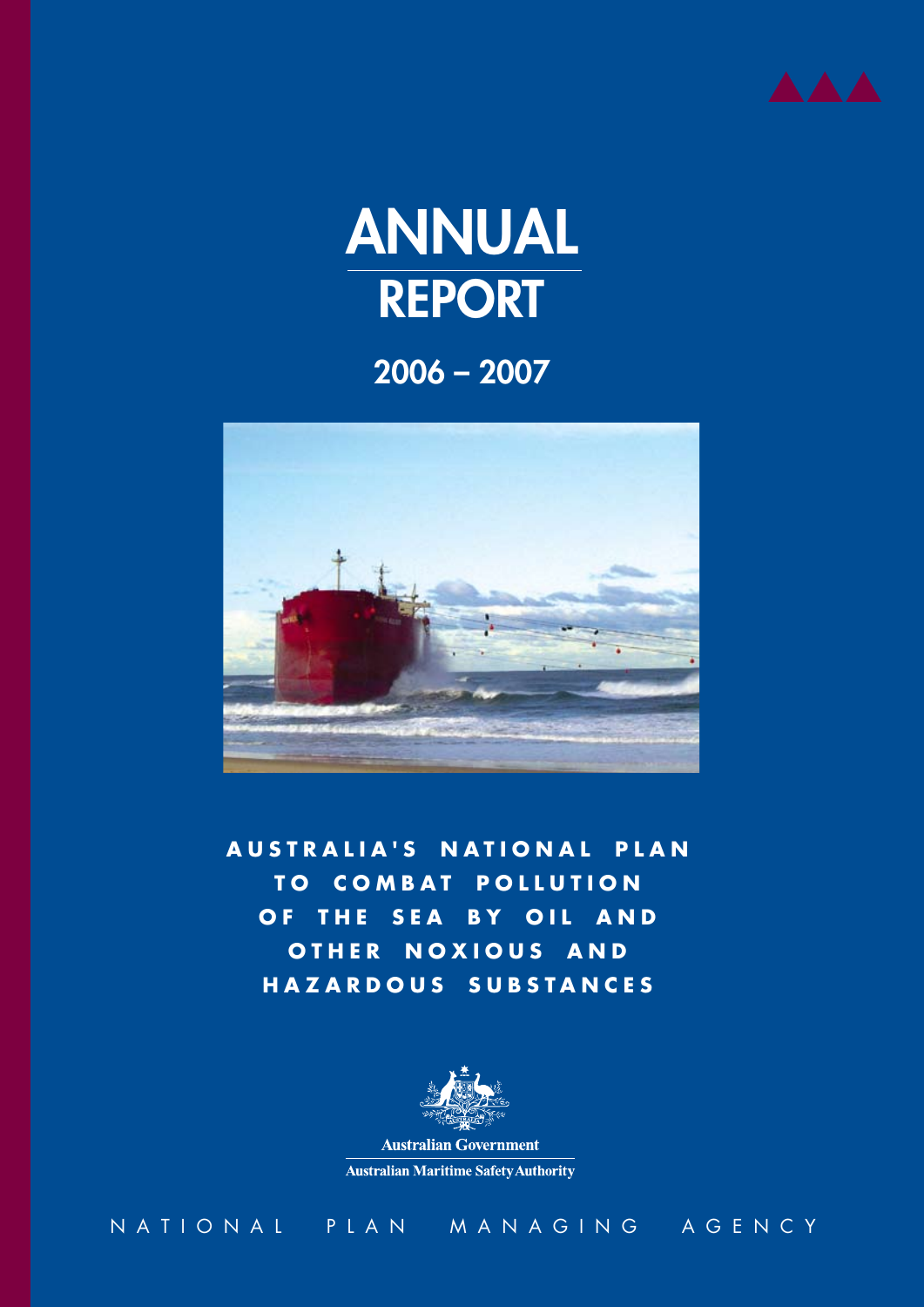



2006 – 2007



**australia's Natio n al Pla n T o Combat p ollutio n OF THE SEA BY OIL AND OTHER N O X IOUS A N D HA Z AR D OUS SUBSTA N C ES**



**Australian Government Australian Maritime Safety Authority** 

national plan managing agency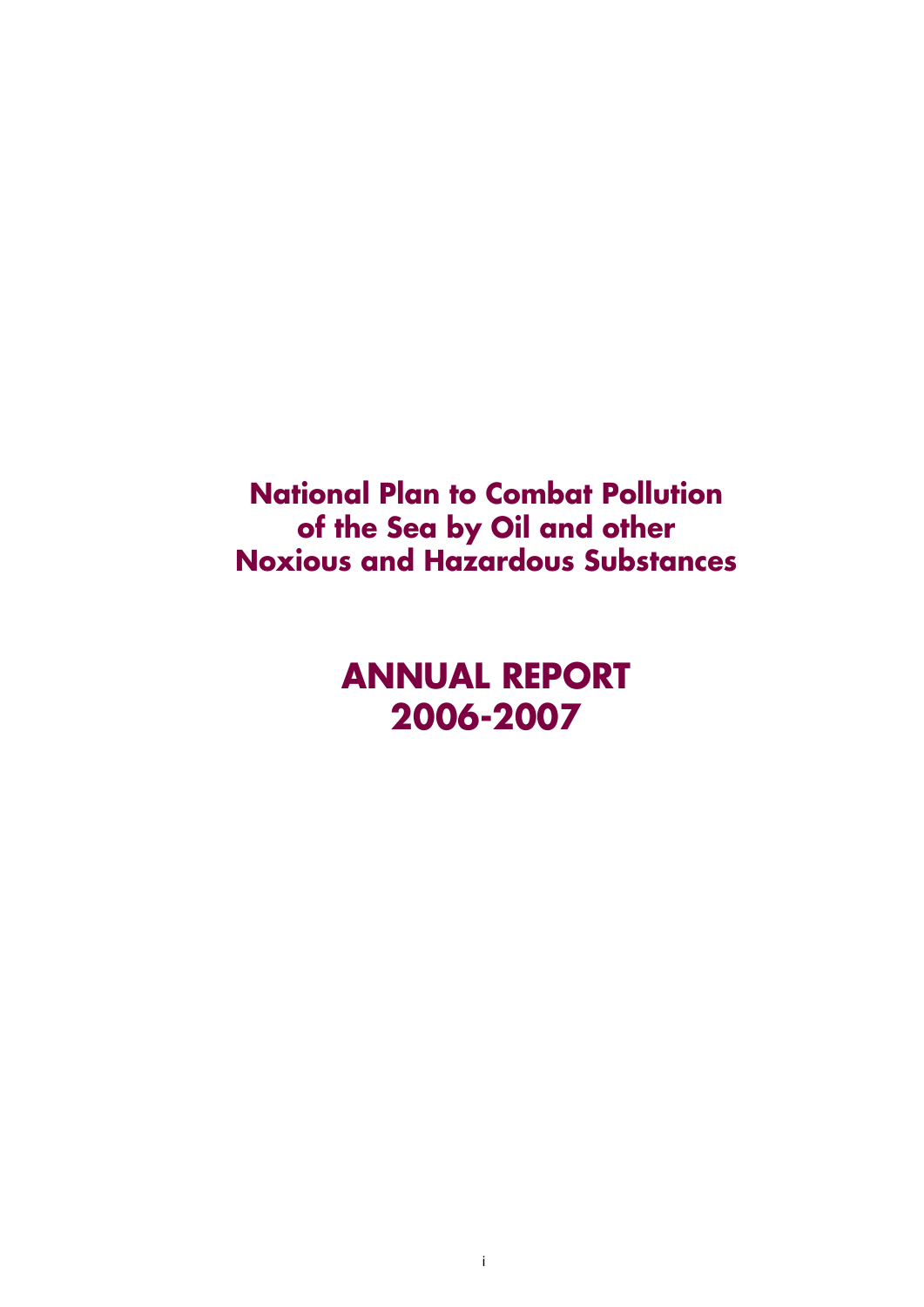**National Plan to Combat Pollution of the Sea by Oil and other Noxious and Hazardous Substances**

> **ANNUAL REPORT 2006-2007**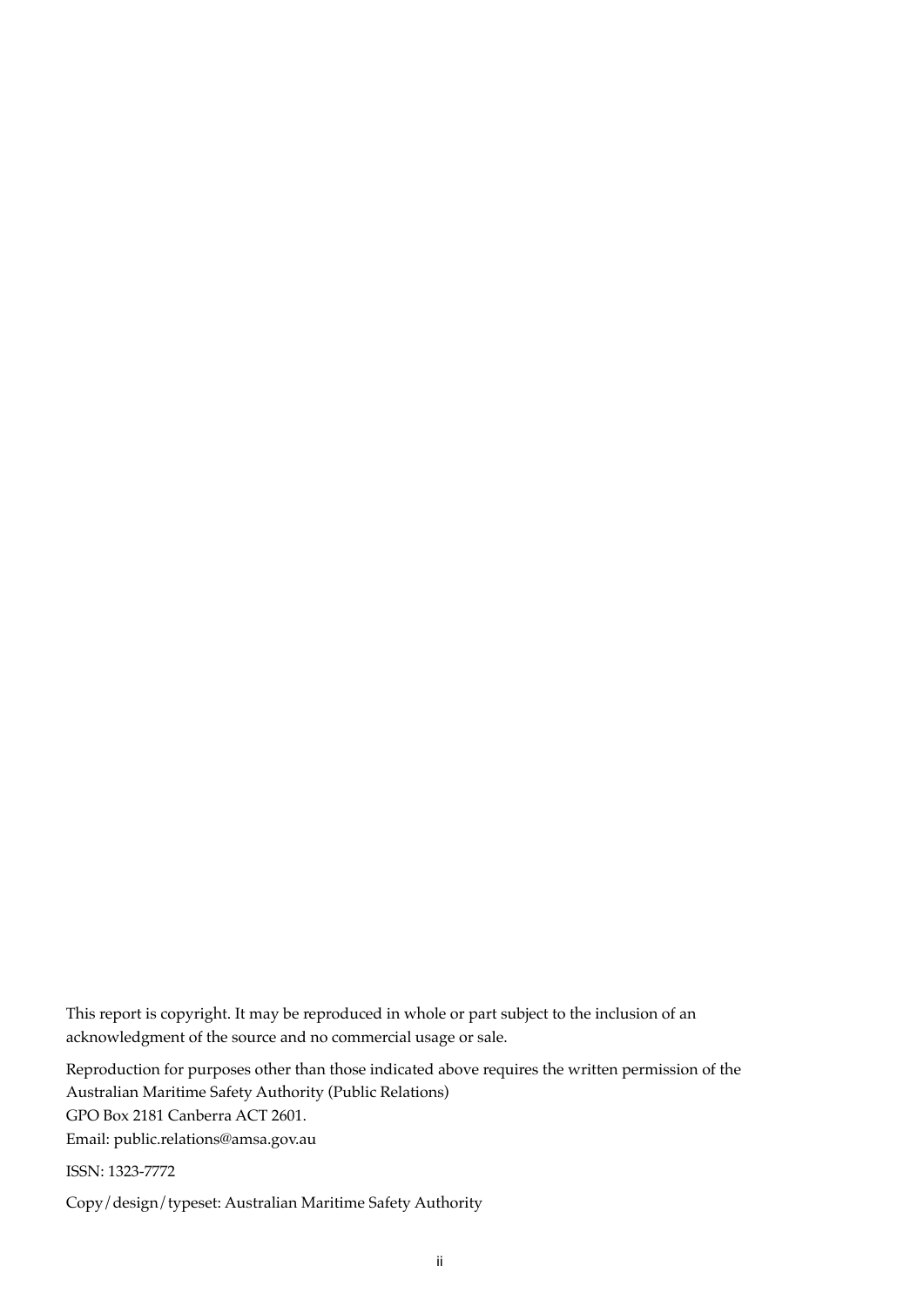This report is copyright. It may be reproduced in whole or part subject to the inclusion of an acknowledgment of the source and no commercial usage or sale.

Reproduction for purposes other than those indicated above requires the written permission of the Australian Maritime Safety Authority (Public Relations) GPO Box 2181 Canberra ACT 2601. Email: public.relations@amsa.gov.au

ISSN: 1323-7772

Copy/design/typeset: Australian Maritime Safety Authority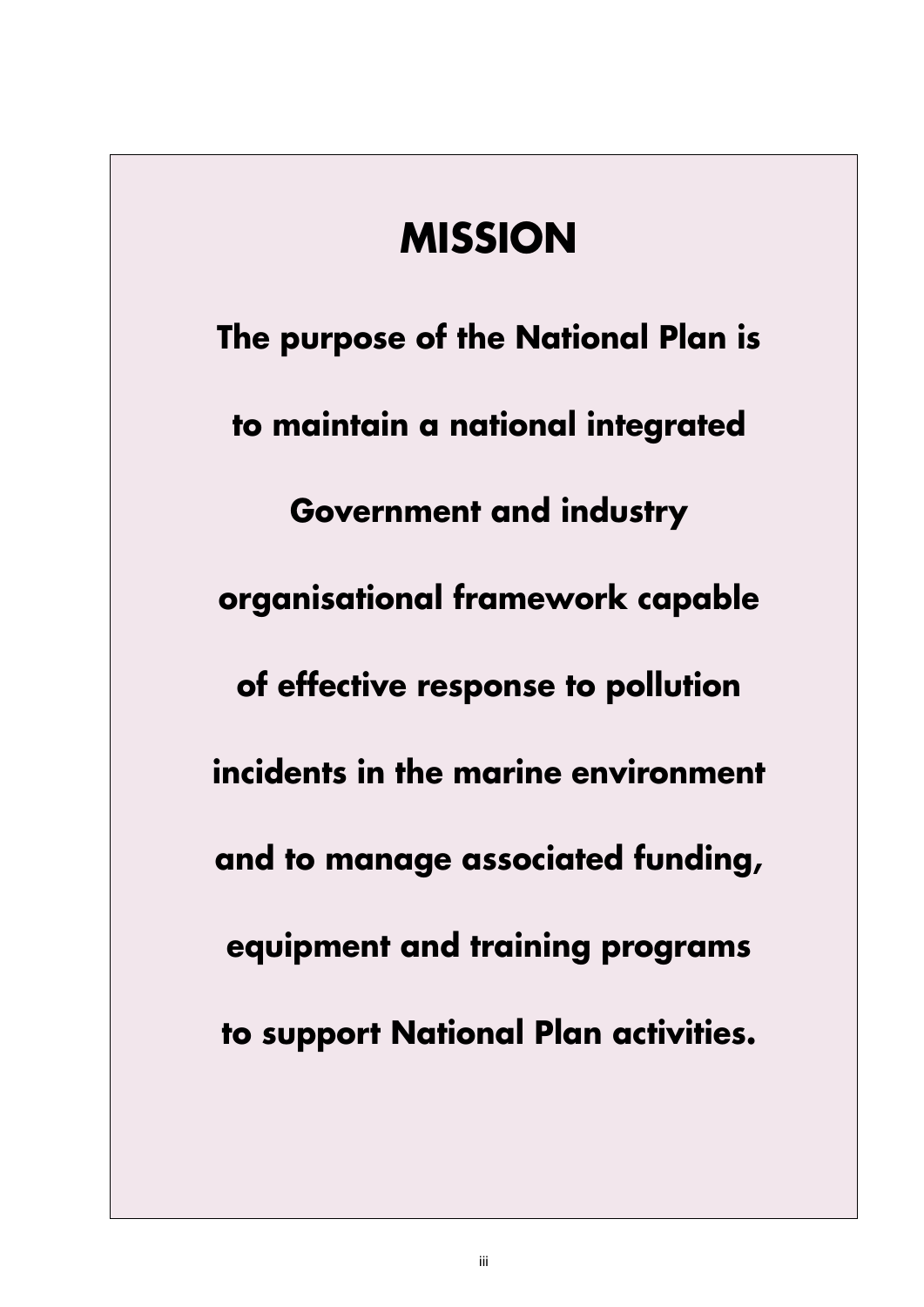# **MISSION**

**The purpose of the National Plan is to maintain a national integrated Government and industry organisational framework capable of effective response to pollution incidents in the marine environment and to manage associated funding, equipment and training programs to support National Plan activities.**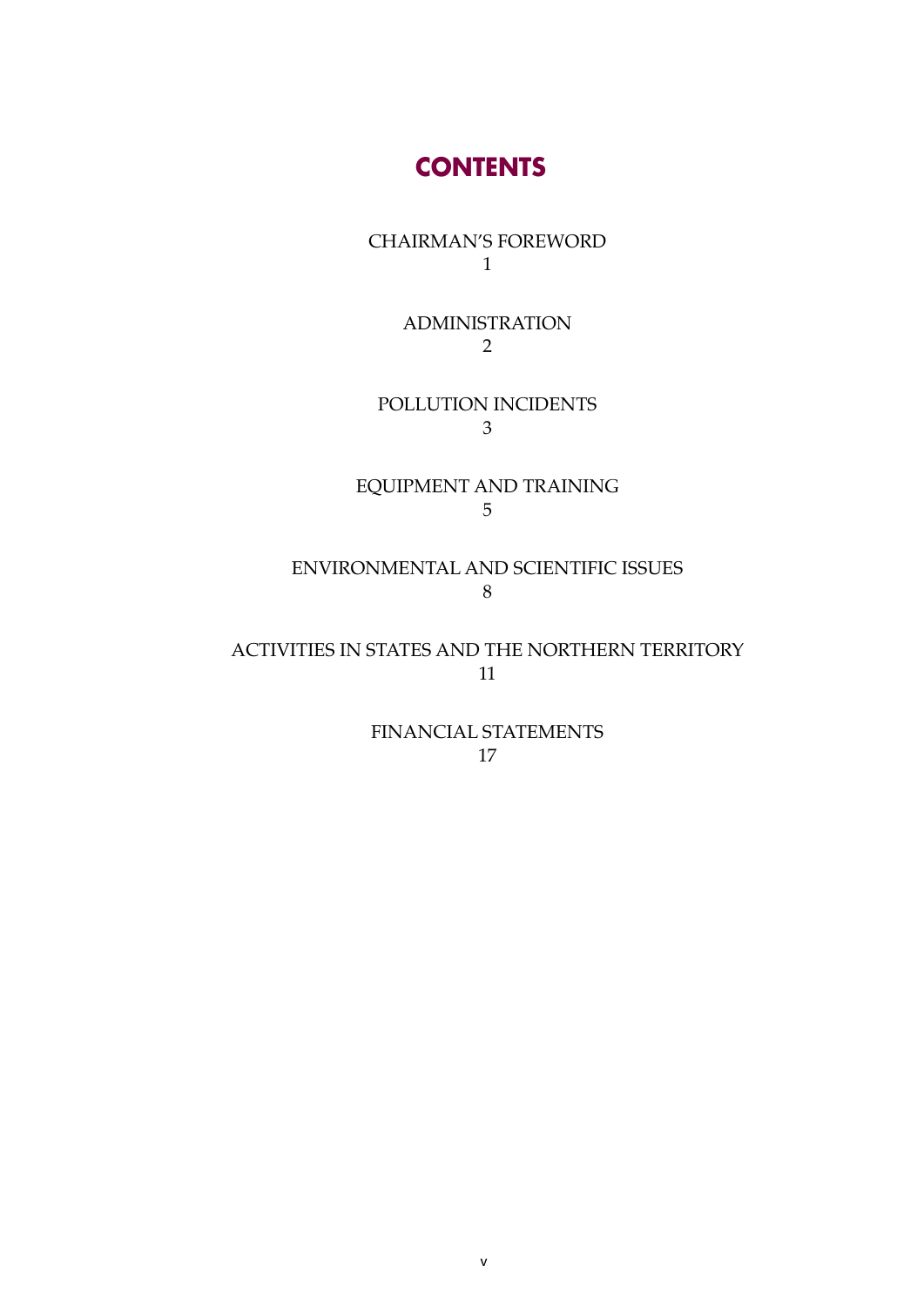### **CONTENTS**

CHAIRMAN'S FOREWORD 1

> ADMINISTRATION 2

POLLUTION INCIDENTS 3

EQUIPMENT AND TRAINING 5

ENVIRONMENTAL AND SCIENTIFIC ISSUES 8

ACTIVITIES IN STATES AND THE NORTHERN TERRITORY 11

> FINANCIAL STATEMENTS 17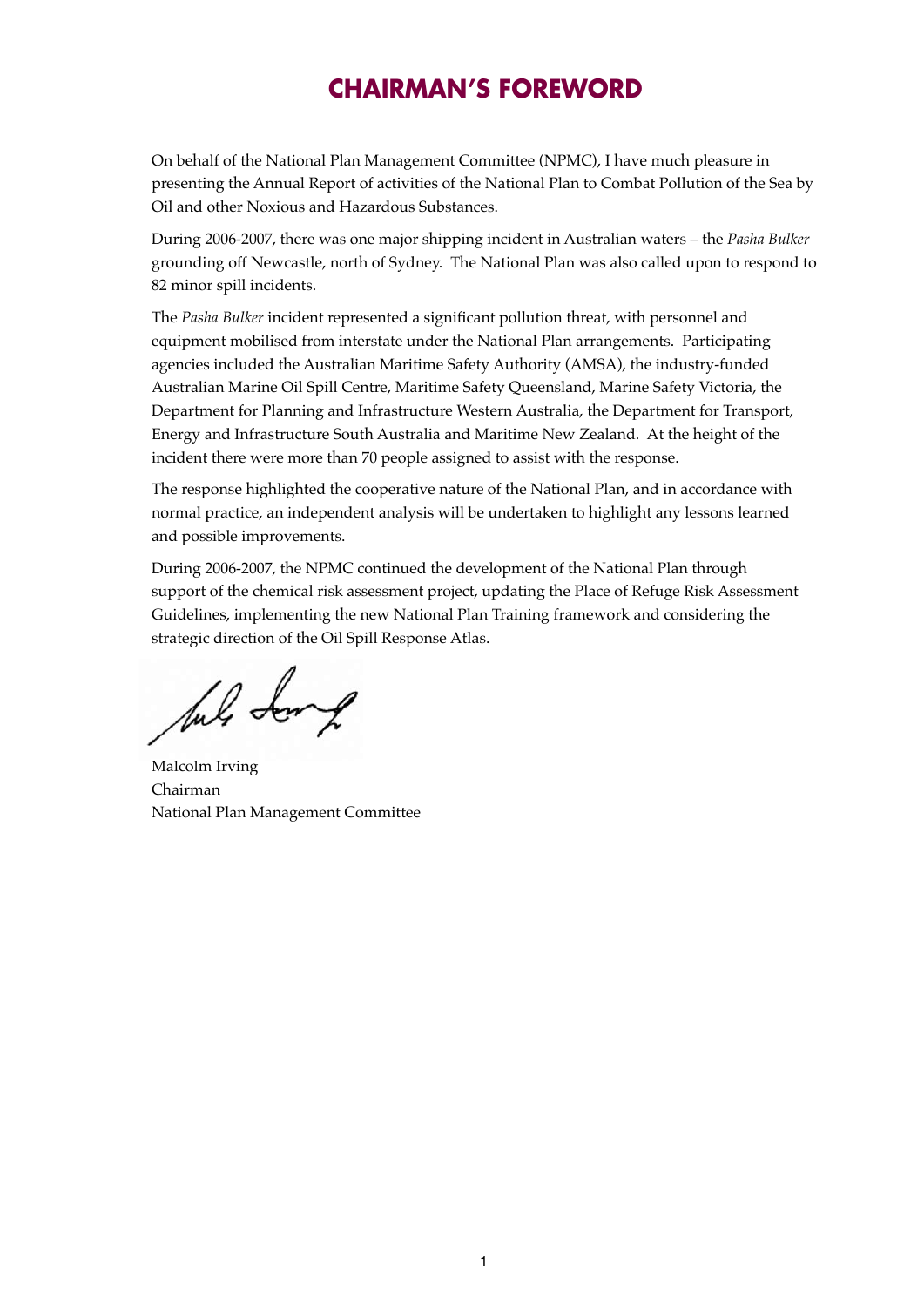## **CHAIRMAN'S FOREWORD**

On behalf of the National Plan Management Committee (NPMC), I have much pleasure in presenting the Annual Report of activities of the National Plan to Combat Pollution of the Sea by Oil and other Noxious and Hazardous Substances.

During 2006-2007, there was one major shipping incident in Australian waters – the *Pasha Bulker* grounding off Newcastle, north of Sydney. The National Plan was also called upon to respond to 82 minor spill incidents.

The *Pasha Bulker* incident represented a significant pollution threat, with personnel and equipment mobilised from interstate under the National Plan arrangements. Participating agencies included the Australian Maritime Safety Authority (AMSA), the industry-funded Australian Marine Oil Spill Centre, Maritime Safety Queensland, Marine Safety Victoria, the Department for Planning and Infrastructure Western Australia, the Department for Transport, Energy and Infrastructure South Australia and Maritime New Zealand. At the height of the incident there were more than 70 people assigned to assist with the response.

The response highlighted the cooperative nature of the National Plan, and in accordance with normal practice, an independent analysis will be undertaken to highlight any lessons learned and possible improvements.

During 2006-2007, the NPMC continued the development of the National Plan through support of the chemical risk assessment project, updating the Place of Refuge Risk Assessment Guidelines, implementing the new National Plan Training framework and considering the strategic direction of the Oil Spill Response Atlas.

Jul Long

Malcolm Irving Chairman National Plan Management Committee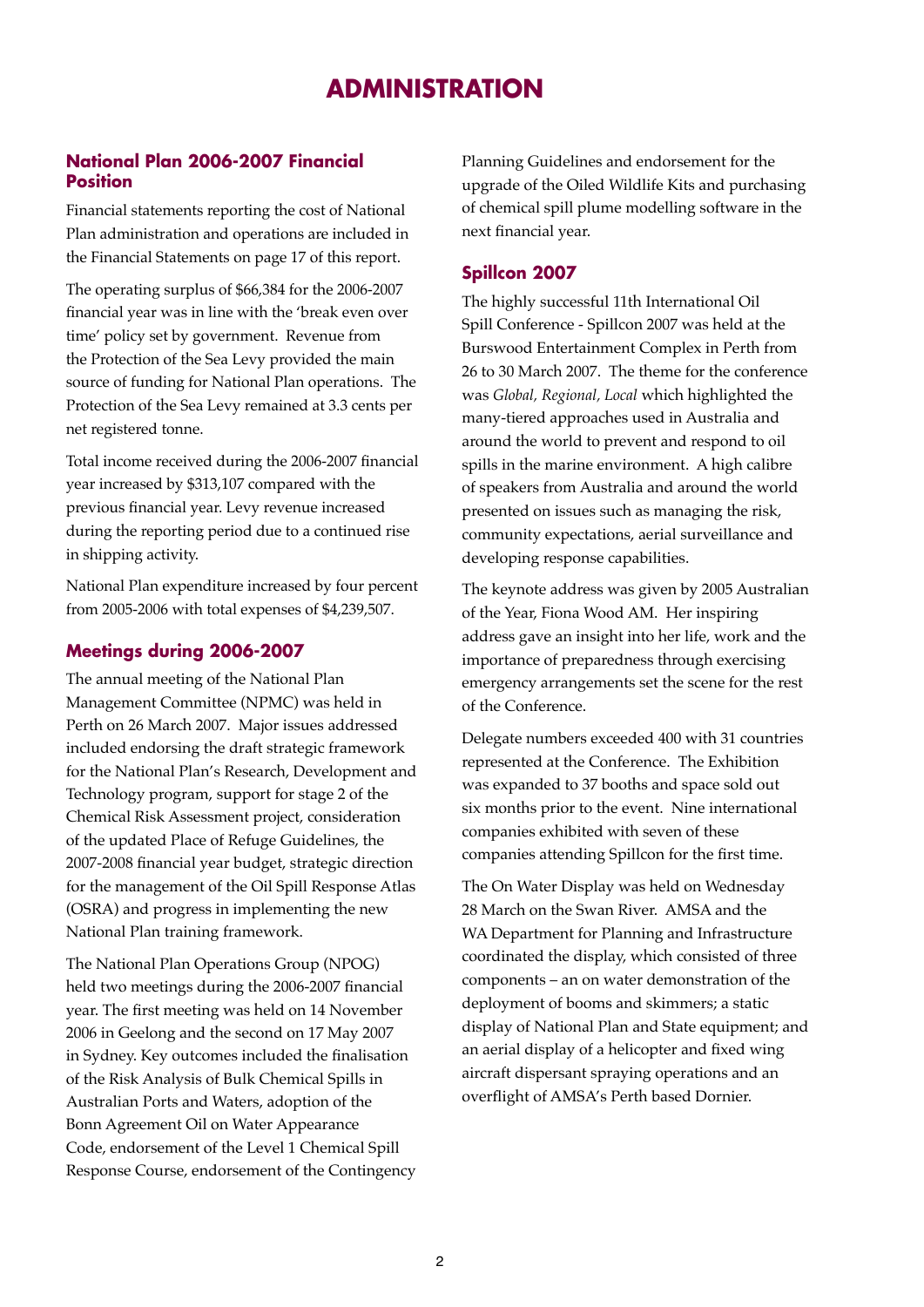### **ADMINISTRATION**

#### **National Plan 2006-2007 Financial Position**

Financial statements reporting the cost of National Plan administration and operations are included in the Financial Statements on page 17 of this report.

The operating surplus of \$66,384 for the 2006-2007 financial year was in line with the 'break even over time' policy set by government. Revenue from the Protection of the Sea Levy provided the main source of funding for National Plan operations. The Protection of the Sea Levy remained at 3.3 cents per net registered tonne.

Total income received during the 2006-2007 financial year increased by \$313,107 compared with the previous financial year. Levy revenue increased during the reporting period due to a continued rise in shipping activity.

National Plan expenditure increased by four percent from 2005-2006 with total expenses of \$4,239,507.

#### **Meetings during 2006-2007**

The annual meeting of the National Plan Management Committee (NPMC) was held in Perth on 26 March 2007. Major issues addressed included endorsing the draft strategic framework for the National Plan's Research, Development and Technology program, support for stage 2 of the Chemical Risk Assessment project, consideration of the updated Place of Refuge Guidelines, the 2007-2008 financial year budget, strategic direction for the management of the Oil Spill Response Atlas (OSRA) and progress in implementing the new National Plan training framework.

The National Plan Operations Group (NPOG) held two meetings during the 2006-2007 financial year. The first meeting was held on 14 November 2006 in Geelong and the second on 17 May 2007 in Sydney. Key outcomes included the finalisation of the Risk Analysis of Bulk Chemical Spills in Australian Ports and Waters, adoption of the Bonn Agreement Oil on Water Appearance Code, endorsement of the Level 1 Chemical Spill Response Course, endorsement of the Contingency Planning Guidelines and endorsement for the upgrade of the Oiled Wildlife Kits and purchasing of chemical spill plume modelling software in the next financial year.

#### **Spillcon 2007**

The highly successful 11th International Oil Spill Conference - Spillcon 2007 was held at the Burswood Entertainment Complex in Perth from 26 to 30 March 2007. The theme for the conference was *Global, Regional, Local* which highlighted the many-tiered approaches used in Australia and around the world to prevent and respond to oil spills in the marine environment. A high calibre of speakers from Australia and around the world presented on issues such as managing the risk, community expectations, aerial surveillance and developing response capabilities.

The keynote address was given by 2005 Australian of the Year, Fiona Wood AM. Her inspiring address gave an insight into her life, work and the importance of preparedness through exercising emergency arrangements set the scene for the rest of the Conference.

Delegate numbers exceeded 400 with 31 countries represented at the Conference. The Exhibition was expanded to 37 booths and space sold out six months prior to the event. Nine international companies exhibited with seven of these companies attending Spillcon for the first time.

The On Water Display was held on Wednesday 28 March on the Swan River. AMSA and the WA Department for Planning and Infrastructure coordinated the display, which consisted of three components – an on water demonstration of the deployment of booms and skimmers; a static display of National Plan and State equipment; and an aerial display of a helicopter and fixed wing aircraft dispersant spraying operations and an overflight of AMSA's Perth based Dornier.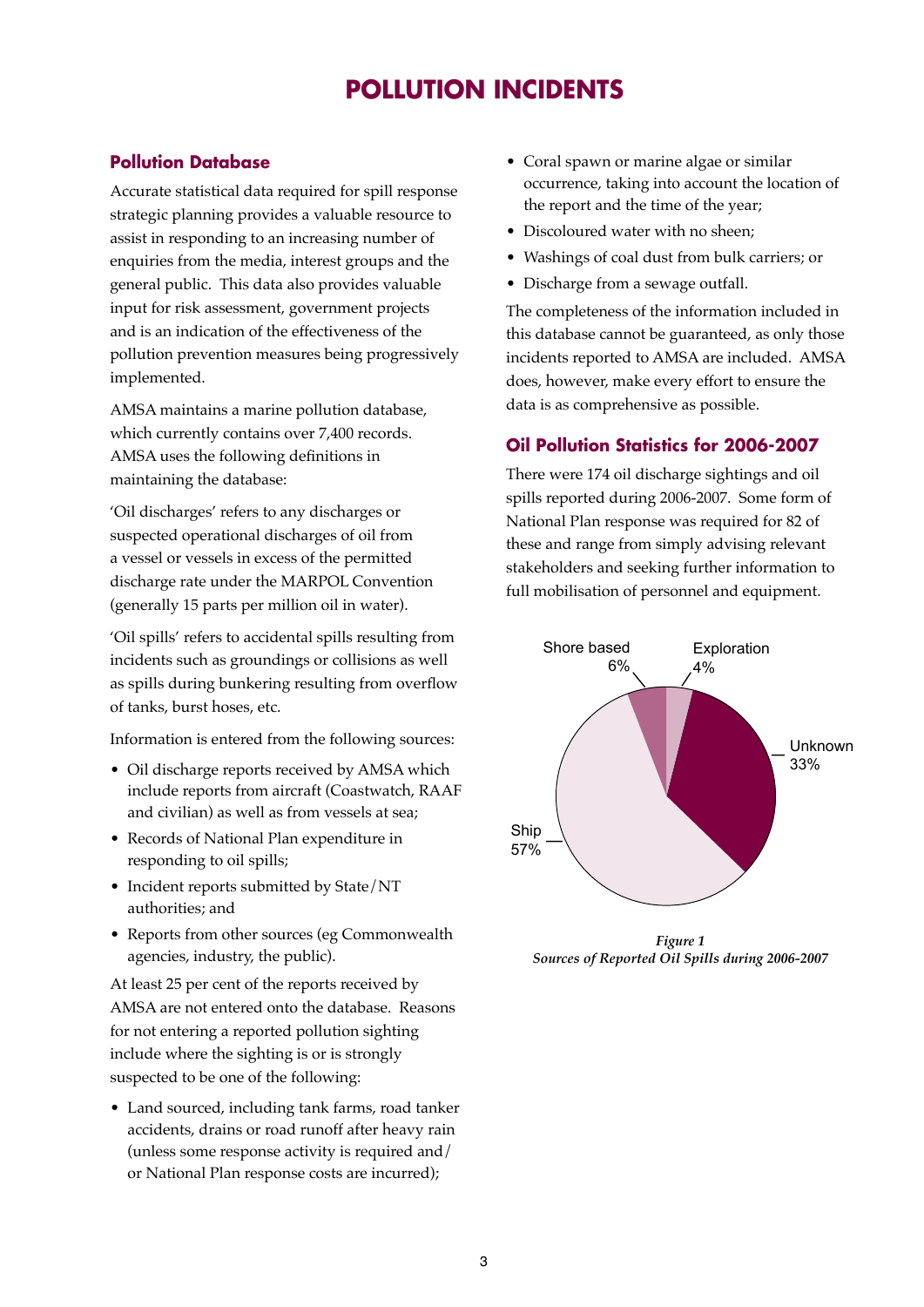### **POLLUTION INCIDENTS**

#### **Pollution Database**

Accurate statistical data required for spill response strategic planning provides a valuable resource to assist in responding to an increasing number of enquiries from the media, interest groups and the general public. This data also provides valuable input for risk assessment, government projects and is an indication of the effectiveness of the pollution prevention measures being progressively implemented.

AMSA maintains a marine pollution database, which currently contains over 7,400 records. AMSA uses the following definitions in maintaining the database:

'Oil discharges' refers to any discharges or suspected operational discharges of oil from a vessel or vessels in excess of the permitted discharge rate under the MARPOL Convention (generally 15 parts per million oil in water).

'Oil spills' refers to accidental spills resulting from incidents such as groundings or collisions as well as spills during bunkering resulting from overflow of tanks, burst hoses, etc.

Information is entered from the following sources:

- Oil discharge reports received by AMSA which include reports from aircraft (Coastwatch, RAAF and civilian) as well as from vessels at sea;
- Records of National Plan expenditure in responding to oil spills;
- Incident reports submitted by State/NT authorities; and
- Reports from other sources (eg Commonwealth agencies, industry, the public).

At least 25 per cent of the reports received by AMSA are not entered onto the database. Reasons for not entering a reported pollution sighting include where the sighting is or is strongly suspected to be one of the following:

• Land sourced, including tank farms, road tanker accidents, drains or road runoff after heavy rain (unless some response activity is required and/ or National Plan response costs are incurred);

- Coral spawn or marine algae or similar occurrence, taking into account the location of the report and the time of the year;
- Discoloured water with no sheen;
- Washings of coal dust from bulk carriers; or
- Discharge from a sewage outfall.

The completeness of the information included in this database cannot be guaranteed, as only those incidents reported to AMSA are included. AMSA does, however, make every effort to ensure the data is as comprehensive as possible.

#### **Oil Pollution Statistics for 2006-2007**

There were 174 oil discharge sightings and oil spills reported during 2006-2007. Some form of National Plan response was required for 82 of these and range from simply advising relevant stakeholders and seeking further information to full mobilisation of personnel and equipment.



*Figure 1 Sources of Reported Oil Spills during 2006-2007*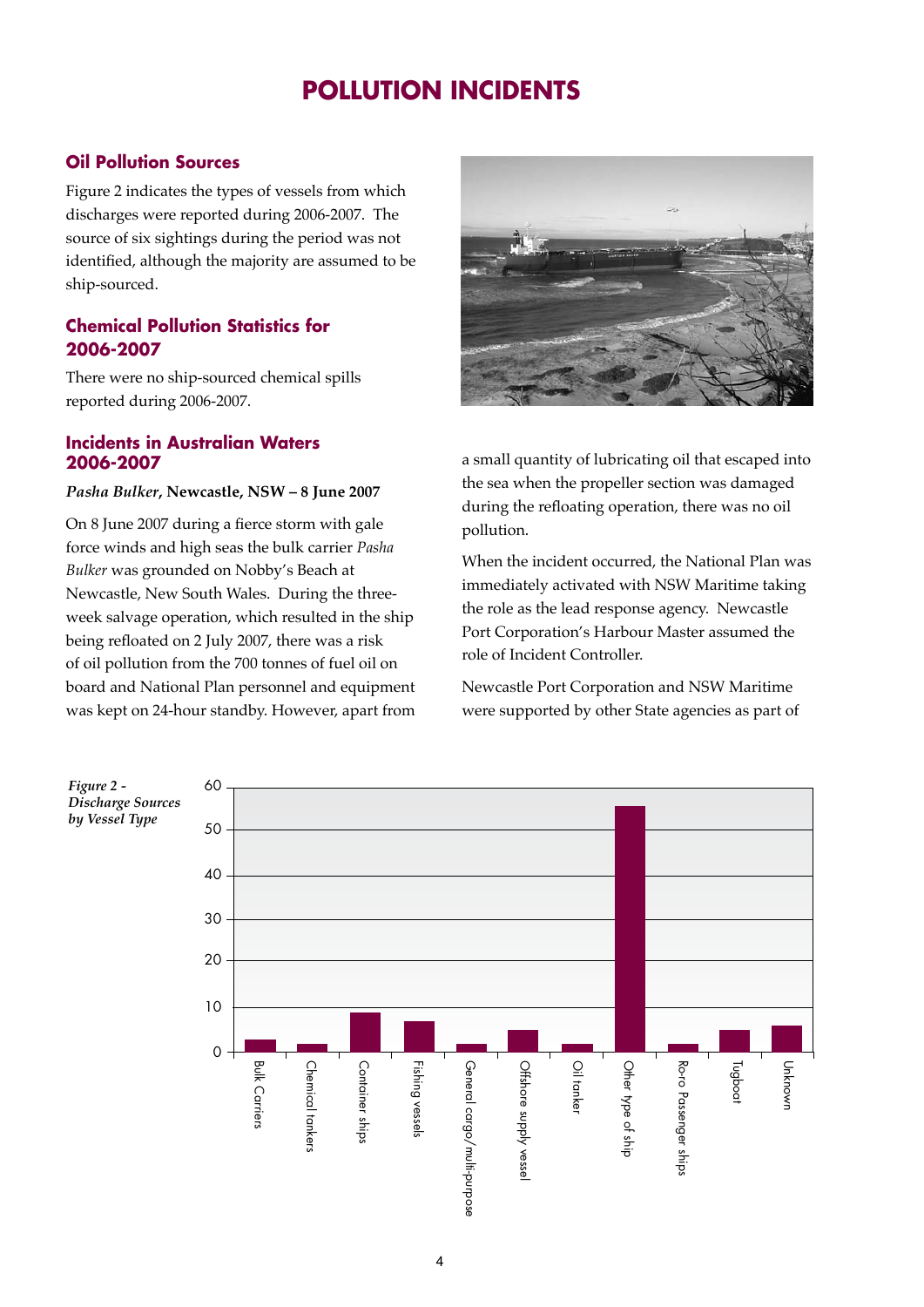### **POLLUTION INCIDENTS**

#### **Oil Pollution Sources**

Figure 2 indicates the types of vessels from which discharges were reported during 2006-2007. The source of six sightings during the period was not identified, although the majority are assumed to be ship-sourced.

#### **Chemical Pollution Statistics for 2006-2007**

There were no ship-sourced chemical spills reported during 2006-2007.

#### **Incidents in Australian Waters 2006-2007**

#### *Pasha Bulker***, Newcastle, NSW – 8 June 2007**

On 8 June 2007 during a fierce storm with gale force winds and high seas the bulk carrier *Pasha Bulker* was grounded on Nobby's Beach at Newcastle, New South Wales. During the threeweek salvage operation, which resulted in the ship being refloated on 2 July 2007, there was a risk of oil pollution from the 700 tonnes of fuel oil on board and National Plan personnel and equipment was kept on 24-hour standby. However, apart from



a small quantity of lubricating oil that escaped into the sea when the propeller section was damaged during the refloating operation, there was no oil pollution.

When the incident occurred, the National Plan was immediately activated with NSW Maritime taking the role as the lead response agency. Newcastle Port Corporation's Harbour Master assumed the role of Incident Controller.

Newcastle Port Corporation and NSW Maritime were supported by other State agencies as part of

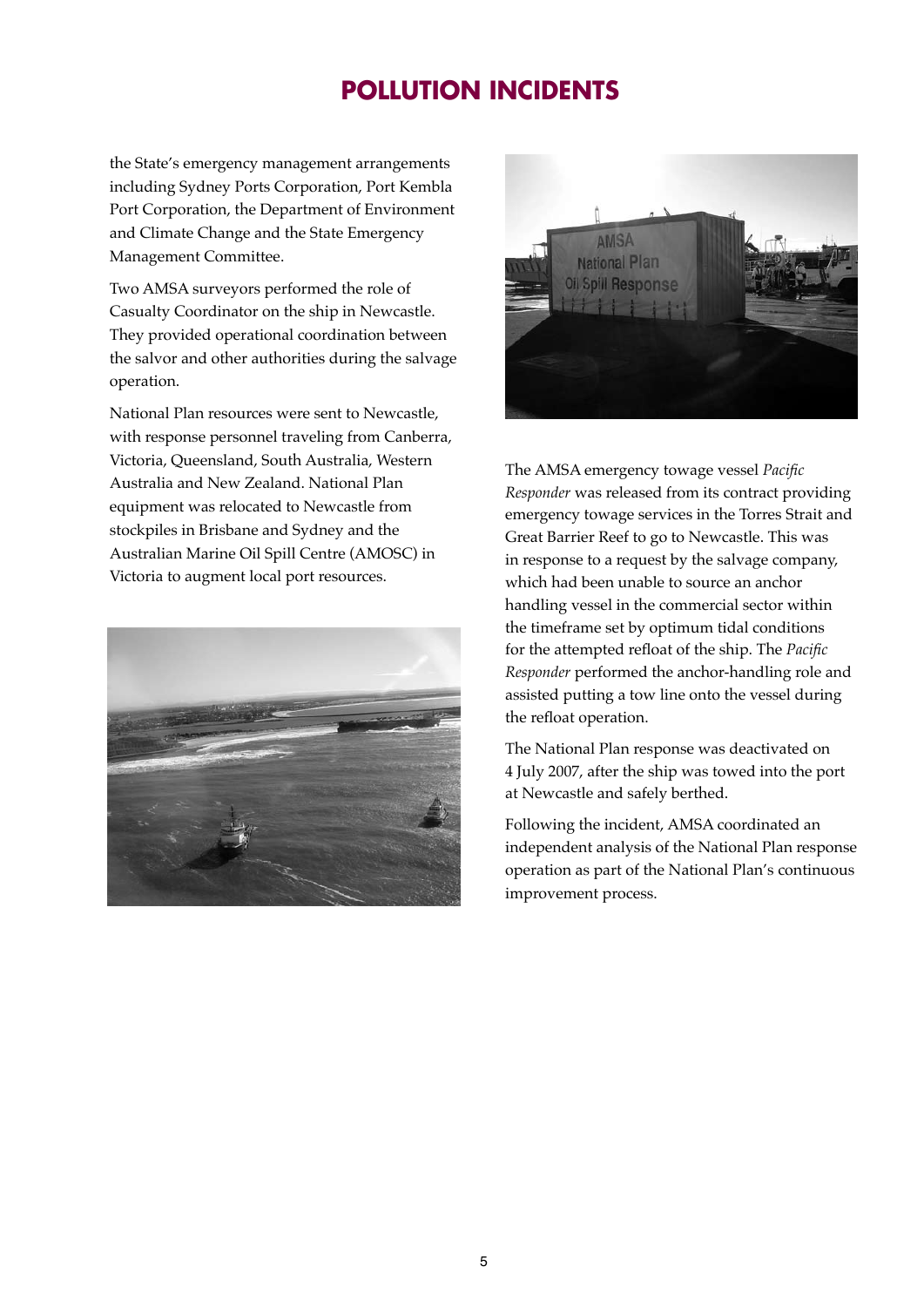## **POLLUTION INCIDENTS**

the State's emergency management arrangements including Sydney Ports Corporation, Port Kembla Port Corporation, the Department of Environment and Climate Change and the State Emergency Management Committee.

Two AMSA surveyors performed the role of Casualty Coordinator on the ship in Newcastle. They provided operational coordination between the salvor and other authorities during the salvage operation.

National Plan resources were sent to Newcastle, with response personnel traveling from Canberra, Victoria, Queensland, South Australia, Western Australia and New Zealand. National Plan equipment was relocated to Newcastle from stockpiles in Brisbane and Sydney and the Australian Marine Oil Spill Centre (AMOSC) in Victoria to augment local port resources.





The AMSA emergency towage vessel *Pacific Responder* was released from its contract providing emergency towage services in the Torres Strait and Great Barrier Reef to go to Newcastle. This was in response to a request by the salvage company, which had been unable to source an anchor handling vessel in the commercial sector within the timeframe set by optimum tidal conditions for the attempted refloat of the ship. The *Pacific Responder* performed the anchor-handling role and assisted putting a tow line onto the vessel during the refloat operation.

The National Plan response was deactivated on 4 July 2007, after the ship was towed into the port at Newcastle and safely berthed.

Following the incident, AMSA coordinated an independent analysis of the National Plan response operation as part of the National Plan's continuous improvement process.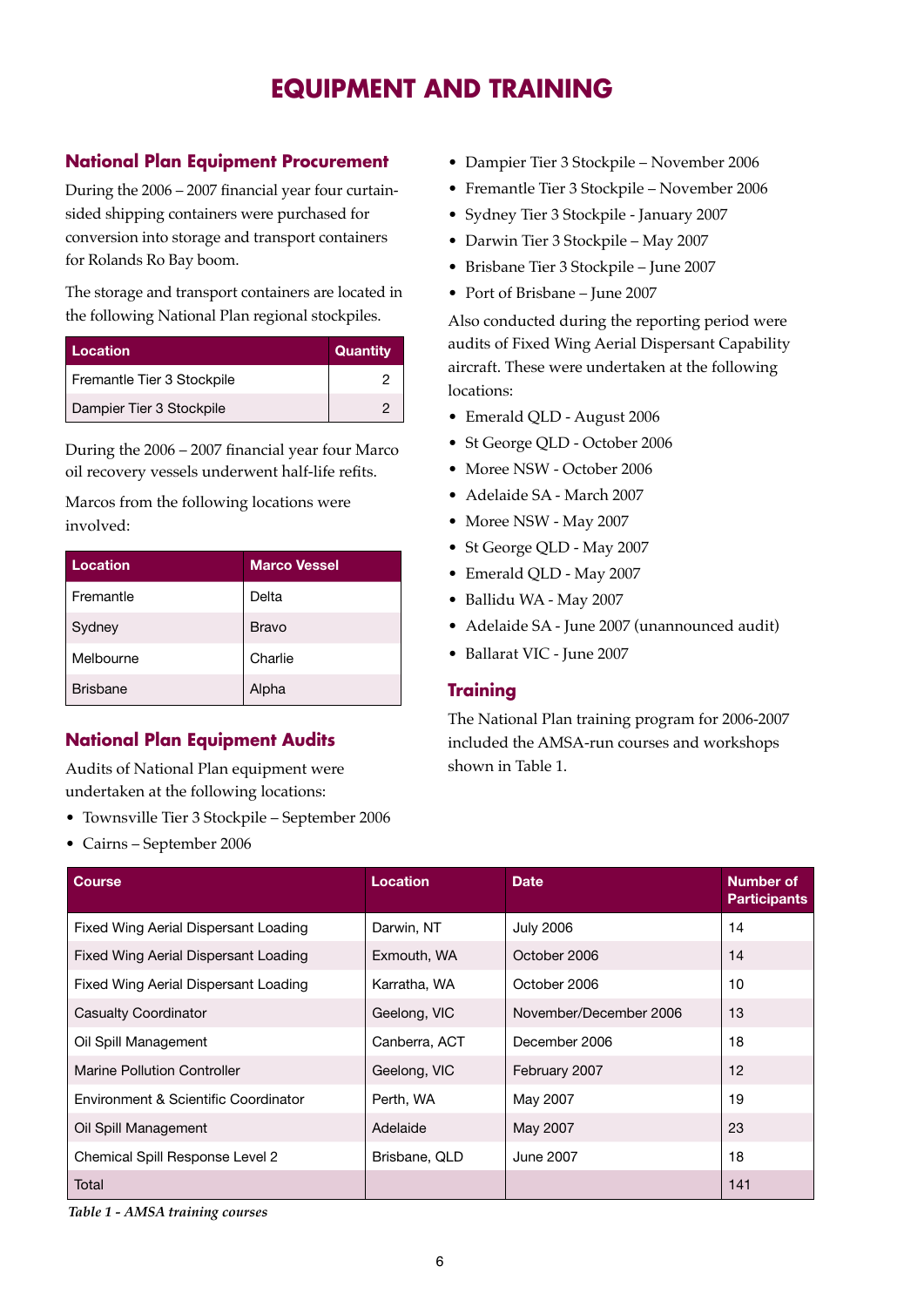### **EQUIPMENT AND TRAINING**

#### **National Plan Equipment Procurement**

During the 2006 – 2007 financial year four curtainsided shipping containers were purchased for conversion into storage and transport containers for Rolands Ro Bay boom.

The storage and transport containers are located in the following National Plan regional stockpiles.

| Location                   | Quantity |
|----------------------------|----------|
| Fremantle Tier 3 Stockpile |          |
| Dampier Tier 3 Stockpile   |          |

During the 2006 – 2007 financial year four Marco oil recovery vessels underwent half-life refits.

Marcos from the following locations were involved:

| Location        | <b>Marco Vessel</b> |
|-----------------|---------------------|
| Fremantle       | Delta               |
| Sydney          | Bravo               |
| Melbourne       | Charlie             |
| <b>Brisbane</b> | Alpha               |

#### **National Plan Equipment Audits**

Audits of National Plan equipment were undertaken at the following locations:

- Townsville Tier 3 Stockpile September 2006
- Cairns September 2006
- Dampier Tier 3 Stockpile November 2006
- Fremantle Tier 3 Stockpile November 2006
- Sydney Tier 3 Stockpile January 2007
- Darwin Tier 3 Stockpile May 2007
- Brisbane Tier 3 Stockpile June 2007
- Port of Brisbane June 2007

Also conducted during the reporting period were audits of Fixed Wing Aerial Dispersant Capability aircraft. These were undertaken at the following locations:

- Emerald QLD August 2006
- St George QLD October 2006
- Moree NSW October 2006
- Adelaide SA March 2007
- Moree NSW May 2007
- St George QLD May 2007
- Emerald QLD May 2007
- Ballidu WA May 2007
- Adelaide SA June 2007 (unannounced audit)
- Ballarat VIC June 2007

#### **Training**

The National Plan training program for 2006-2007 included the AMSA-run courses and workshops shown in Table 1.

| <b>Course</b>                        | <b>Location</b> | <b>Date</b>            | Number of<br><b>Participants</b> |
|--------------------------------------|-----------------|------------------------|----------------------------------|
| Fixed Wing Aerial Dispersant Loading | Darwin, NT      | <b>July 2006</b>       | 14                               |
| Fixed Wing Aerial Dispersant Loading | Exmouth, WA     | October 2006           | 14                               |
| Fixed Wing Aerial Dispersant Loading | Karratha, WA    | October 2006           | 10                               |
| <b>Casualty Coordinator</b>          | Geelong, VIC    | November/December 2006 | 13                               |
| Oil Spill Management                 | Canberra, ACT   | December 2006          | 18                               |
| Marine Pollution Controller          | Geelong, VIC    | February 2007          | 12                               |
| Environment & Scientific Coordinator | Perth, WA       | May 2007               | 19                               |
| Oil Spill Management                 | Adelaide        | May 2007               | 23                               |
| Chemical Spill Response Level 2      | Brisbane, QLD   | June 2007              | 18                               |
| Total                                |                 |                        | 141                              |

*Table 1 - AMSA training courses*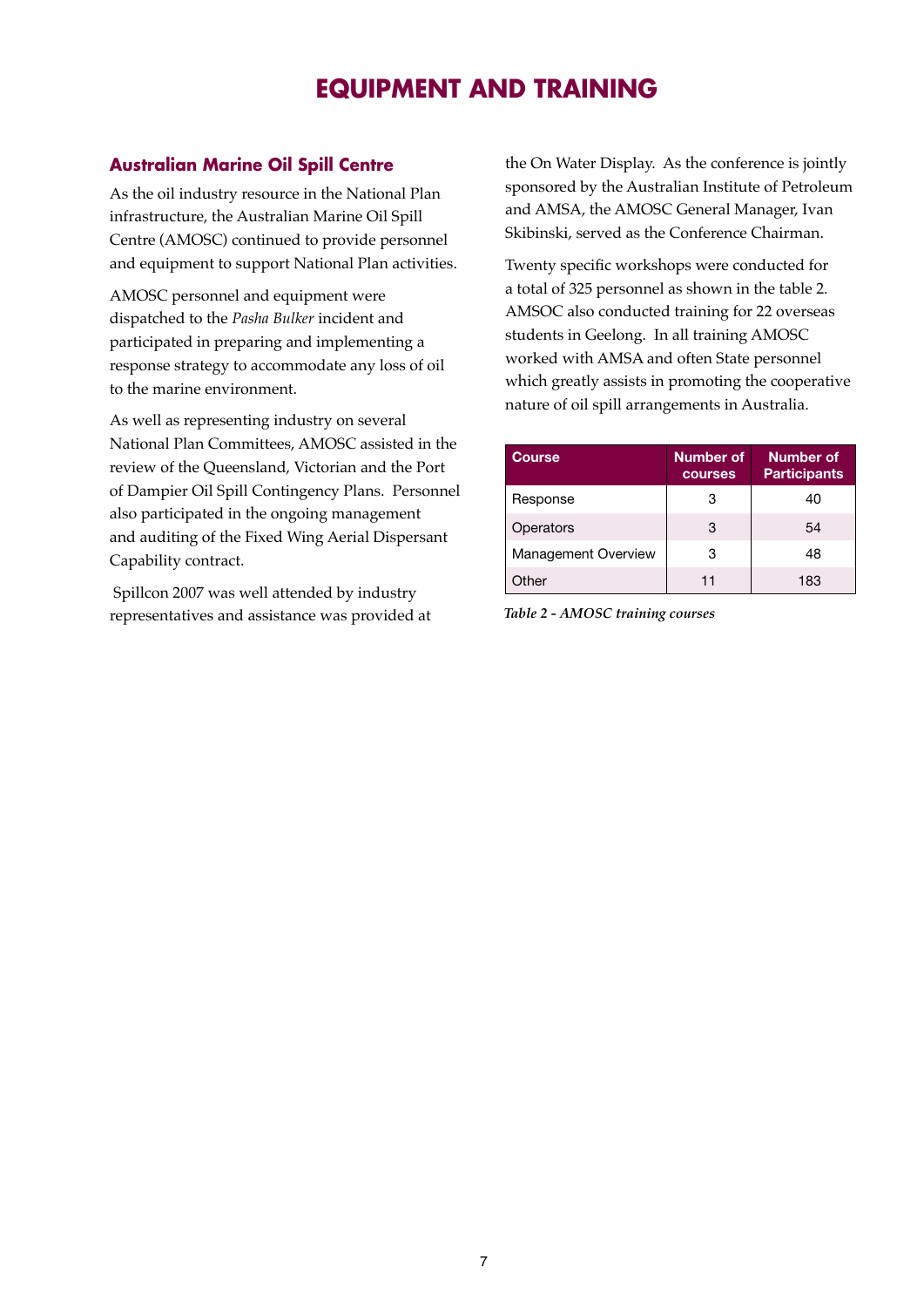### **EQUIPMENT AND TRAINING**

#### **Australian Marine Oil Spill Centre**

As the oil industry resource in the National Plan infrastructure, the Australian Marine Oil Spill Centre (AMOSC) continued to provide personnel and equipment to support National Plan activities.

AMOSC personnel and equipment were dispatched to the *Pasha Bulker* incident and participated in preparing and implementing a response strategy to accommodate any loss of oil to the marine environment.

As well as representing industry on several National Plan Committees, AMOSC assisted in the review of the Queensland, Victorian and the Port of Dampier Oil Spill Contingency Plans. Personnel also participated in the ongoing management and auditing of the Fixed Wing Aerial Dispersant Capability contract.

 Spillcon 2007 was well attended by industry representatives and assistance was provided at *Table 2 - AMOSC training courses*

the On Water Display. As the conference is jointly sponsored by the Australian Institute of Petroleum and AMSA, the AMOSC General Manager, Ivan Skibinski, served as the Conference Chairman.

Twenty specific workshops were conducted for a total of 325 personnel as shown in the table 2. AMSOC also conducted training for 22 overseas students in Geelong. In all training AMOSC worked with AMSA and often State personnel which greatly assists in promoting the cooperative nature of oil spill arrangements in Australia.

| <b>Course</b>              | Number of<br>courses | Number of<br><b>Participants</b> |
|----------------------------|----------------------|----------------------------------|
| Response                   | З                    | 40                               |
| Operators                  | 3                    | 54                               |
| <b>Management Overview</b> | 3                    | 48                               |
| Other                      | 11                   | 183                              |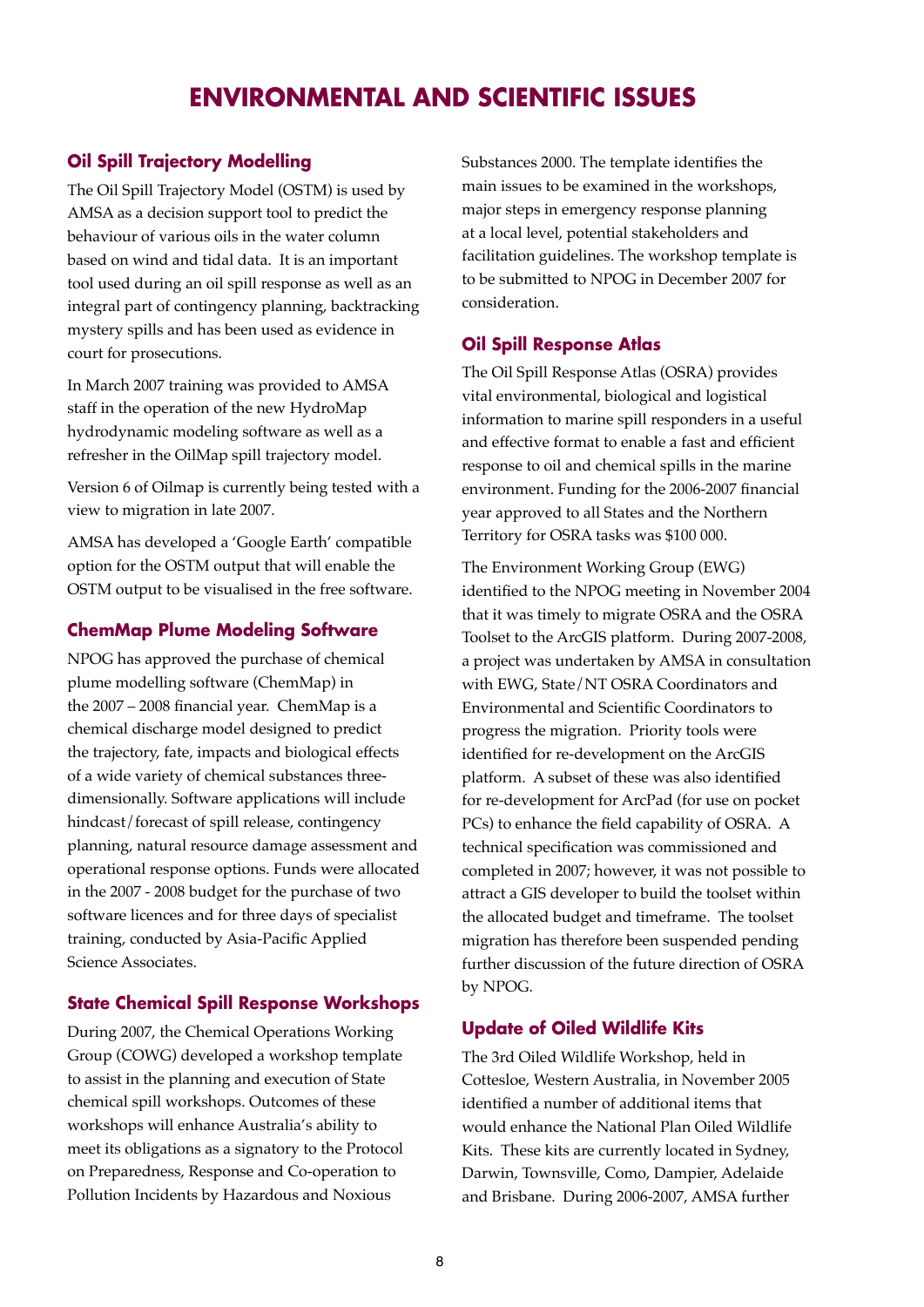### **ENVIRONMENTAL AND SCIENTIFIC ISSUES**

#### **Oil Spill Trajectory Modelling**

The Oil Spill Trajectory Model (OSTM) is used by AMSA as a decision support tool to predict the behaviour of various oils in the water column based on wind and tidal data. It is an important tool used during an oil spill response as well as an integral part of contingency planning, backtracking mystery spills and has been used as evidence in court for prosecutions.

In March 2007 training was provided to AMSA staff in the operation of the new HydroMap hydrodynamic modeling software as well as a refresher in the OilMap spill trajectory model.

Version 6 of Oilmap is currently being tested with a view to migration in late 2007.

AMSA has developed a 'Google Earth' compatible option for the OSTM output that will enable the OSTM output to be visualised in the free software.

#### **ChemMap Plume Modeling Software**

NPOG has approved the purchase of chemical plume modelling software (ChemMap) in the 2007 – 2008 financial year. ChemMap is a chemical discharge model designed to predict the trajectory, fate, impacts and biological effects of a wide variety of chemical substances threedimensionally. Software applications will include hindcast/forecast of spill release, contingency planning, natural resource damage assessment and operational response options. Funds were allocated in the 2007 - 2008 budget for the purchase of two software licences and for three days of specialist training, conducted by Asia-Pacific Applied Science Associates.

#### **State Chemical Spill Response Workshops**

During 2007, the Chemical Operations Working Group (COWG) developed a workshop template to assist in the planning and execution of State chemical spill workshops. Outcomes of these workshops will enhance Australia's ability to meet its obligations as a signatory to the Protocol on Preparedness, Response and Co-operation to Pollution Incidents by Hazardous and Noxious

Substances 2000. The template identifies the main issues to be examined in the workshops, major steps in emergency response planning at a local level, potential stakeholders and facilitation guidelines. The workshop template is to be submitted to NPOG in December 2007 for consideration.

#### **Oil Spill Response Atlas**

The Oil Spill Response Atlas (OSRA) provides vital environmental, biological and logistical information to marine spill responders in a useful and effective format to enable a fast and efficient response to oil and chemical spills in the marine environment. Funding for the 2006-2007 financial year approved to all States and the Northern Territory for OSRA tasks was \$100 000.

The Environment Working Group (EWG) identified to the NPOG meeting in November 2004 that it was timely to migrate OSRA and the OSRA Toolset to the ArcGIS platform. During 2007-2008, a project was undertaken by AMSA in consultation with EWG, State/NT OSRA Coordinators and Environmental and Scientific Coordinators to progress the migration. Priority tools were identified for re-development on the ArcGIS platform. A subset of these was also identified for re-development for ArcPad (for use on pocket PCs) to enhance the field capability of OSRA. A technical specification was commissioned and completed in 2007; however, it was not possible to attract a GIS developer to build the toolset within the allocated budget and timeframe. The toolset migration has therefore been suspended pending further discussion of the future direction of OSRA by NPOG.

#### **Update of Oiled Wildlife Kits**

The 3rd Oiled Wildlife Workshop, held in Cottesloe, Western Australia, in November 2005 identified a number of additional items that would enhance the National Plan Oiled Wildlife Kits. These kits are currently located in Sydney, Darwin, Townsville, Como, Dampier, Adelaide and Brisbane. During 2006-2007, AMSA further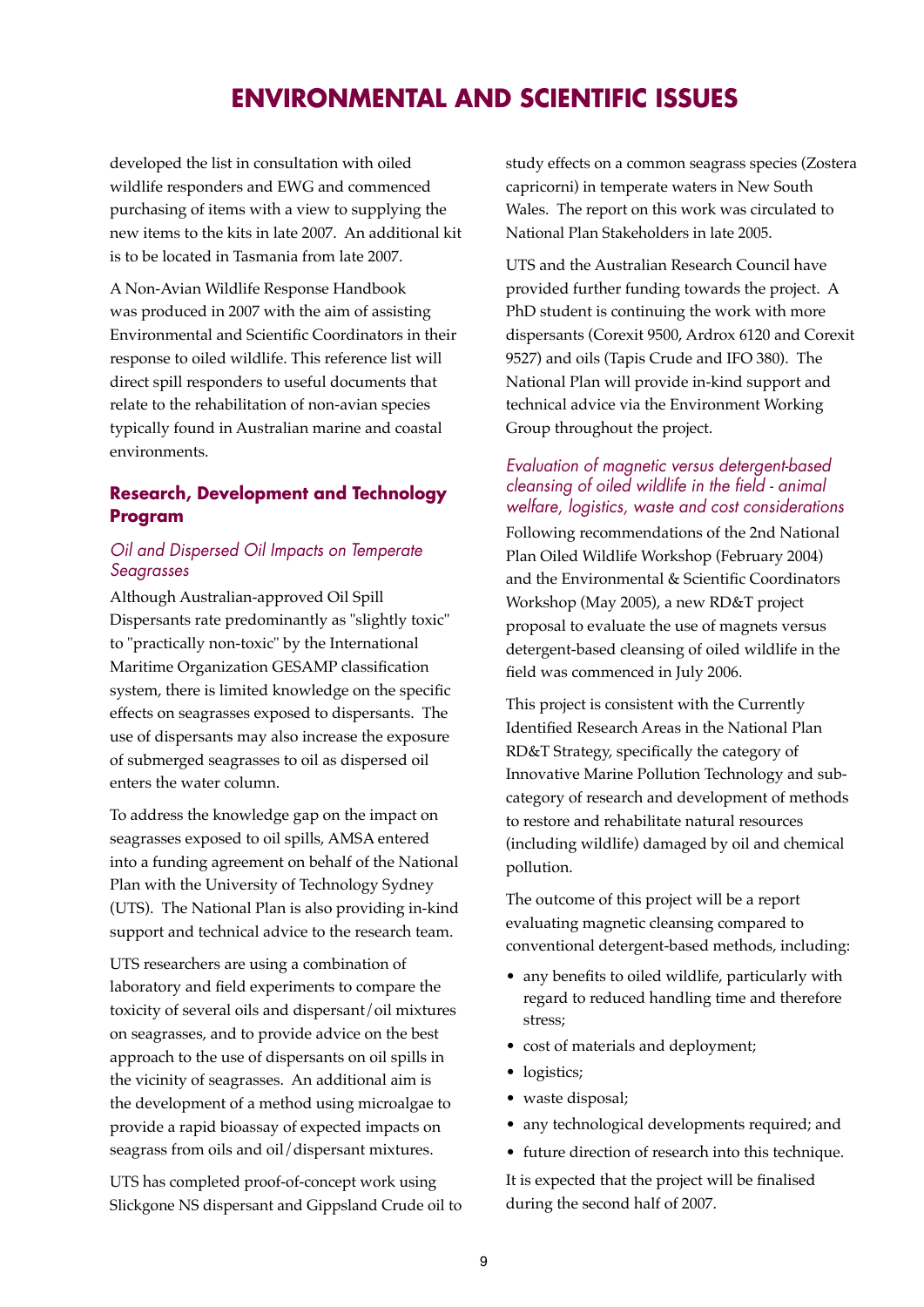### **ENVIRONMENTAL AND SCIENTIFIC ISSUES**

developed the list in consultation with oiled wildlife responders and EWG and commenced purchasing of items with a view to supplying the new items to the kits in late 2007. An additional kit is to be located in Tasmania from late 2007.

A Non-Avian Wildlife Response Handbook was produced in 2007 with the aim of assisting Environmental and Scientific Coordinators in their response to oiled wildlife. This reference list will direct spill responders to useful documents that relate to the rehabilitation of non-avian species typically found in Australian marine and coastal environments.

#### **Research, Development and Technology Program**

#### *Oil and Dispersed Oil Impacts on Temperate Seagrasses*

Although Australian-approved Oil Spill Dispersants rate predominantly as "slightly toxic" to "practically non-toxic" by the International Maritime Organization GESAMP classification system, there is limited knowledge on the specific effects on seagrasses exposed to dispersants. The use of dispersants may also increase the exposure of submerged seagrasses to oil as dispersed oil enters the water column.

To address the knowledge gap on the impact on seagrasses exposed to oil spills, AMSA entered into a funding agreement on behalf of the National Plan with the University of Technology Sydney (UTS). The National Plan is also providing in-kind support and technical advice to the research team.

UTS researchers are using a combination of laboratory and field experiments to compare the toxicity of several oils and dispersant/oil mixtures on seagrasses, and to provide advice on the best approach to the use of dispersants on oil spills in the vicinity of seagrasses. An additional aim is the development of a method using microalgae to provide a rapid bioassay of expected impacts on seagrass from oils and oil/dispersant mixtures.

UTS has completed proof-of-concept work using Slickgone NS dispersant and Gippsland Crude oil to study effects on a common seagrass species (Zostera capricorni) in temperate waters in New South Wales. The report on this work was circulated to National Plan Stakeholders in late 2005.

UTS and the Australian Research Council have provided further funding towards the project. A PhD student is continuing the work with more dispersants (Corexit 9500, Ardrox 6120 and Corexit 9527) and oils (Tapis Crude and IFO 380). The National Plan will provide in-kind support and technical advice via the Environment Working Group throughout the project.

#### *Evaluation of magnetic versus detergent-based cleansing of oiled wildlife in the field - animal welfare, logistics, waste and cost considerations*

Following recommendations of the 2nd National Plan Oiled Wildlife Workshop (February 2004) and the Environmental & Scientific Coordinators Workshop (May 2005), a new RD&T project proposal to evaluate the use of magnets versus detergent-based cleansing of oiled wildlife in the field was commenced in July 2006.

This project is consistent with the Currently Identified Research Areas in the National Plan RD&T Strategy, specifically the category of Innovative Marine Pollution Technology and subcategory of research and development of methods to restore and rehabilitate natural resources (including wildlife) damaged by oil and chemical pollution.

The outcome of this project will be a report evaluating magnetic cleansing compared to conventional detergent-based methods, including:

- any benefits to oiled wildlife, particularly with regard to reduced handling time and therefore stress;
- cost of materials and deployment;
- logistics;
- waste disposal;
- any technological developments required; and
- future direction of research into this technique.

It is expected that the project will be finalised during the second half of 2007.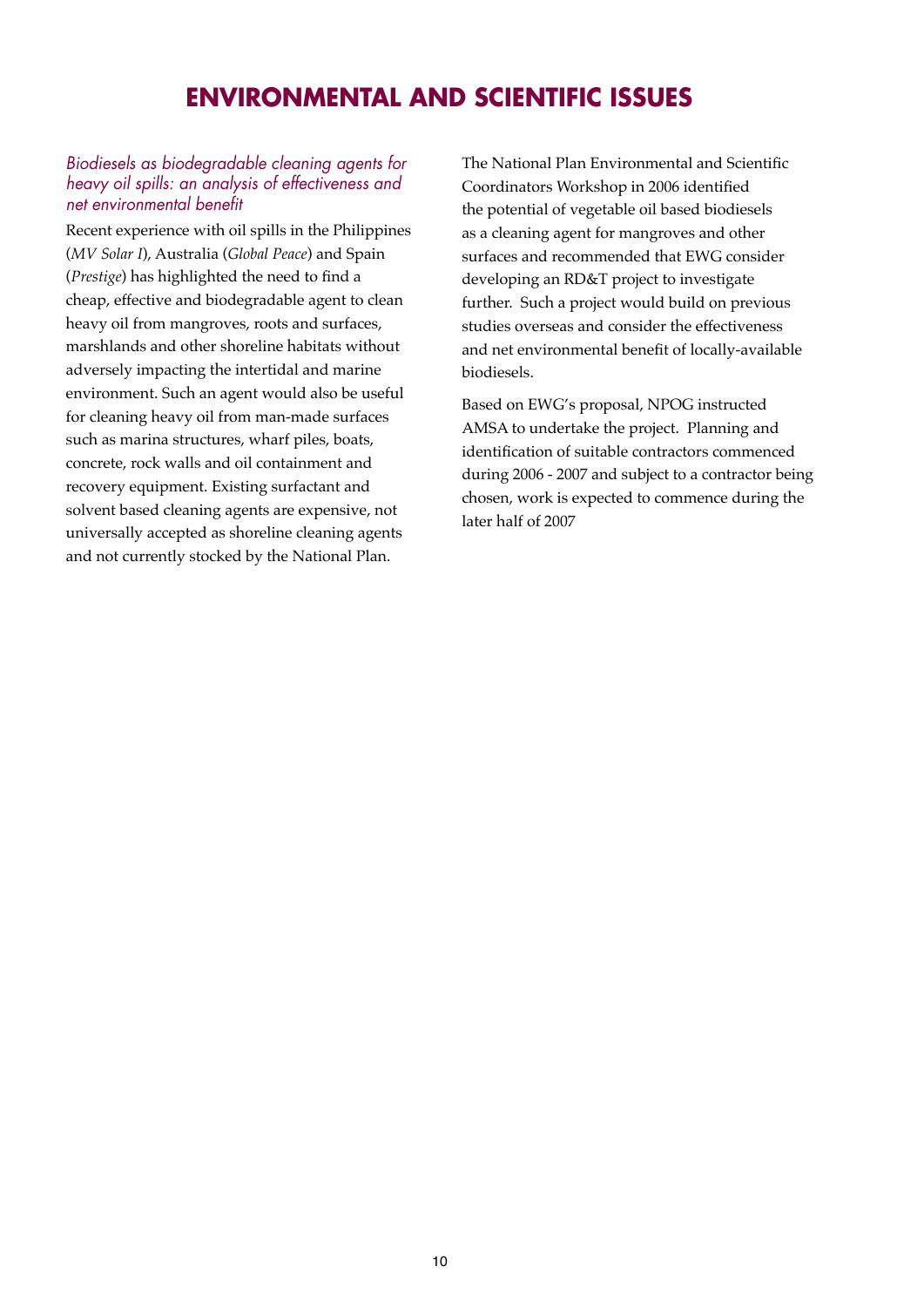### **ENVIRONMENTAL AND SCIENTIFIC ISSUES**

#### *Biodiesels as biodegradable cleaning agents for heavy oil spills: an analysis of effectiveness and net environmental benefit*

Recent experience with oil spills in the Philippines (*MV Solar I*), Australia (*Global Peace*) and Spain (*Prestige*) has highlighted the need to find a cheap, effective and biodegradable agent to clean heavy oil from mangroves, roots and surfaces, marshlands and other shoreline habitats without adversely impacting the intertidal and marine environment. Such an agent would also be useful for cleaning heavy oil from man-made surfaces such as marina structures, wharf piles, boats, concrete, rock walls and oil containment and recovery equipment. Existing surfactant and solvent based cleaning agents are expensive, not universally accepted as shoreline cleaning agents and not currently stocked by the National Plan.

The National Plan Environmental and Scientific Coordinators Workshop in 2006 identified the potential of vegetable oil based biodiesels as a cleaning agent for mangroves and other surfaces and recommended that EWG consider developing an RD&T project to investigate further. Such a project would build on previous studies overseas and consider the effectiveness and net environmental benefit of locally-available biodiesels.

Based on EWG's proposal, NPOG instructed AMSA to undertake the project. Planning and identification of suitable contractors commenced during 2006 - 2007 and subject to a contractor being chosen, work is expected to commence during the later half of 2007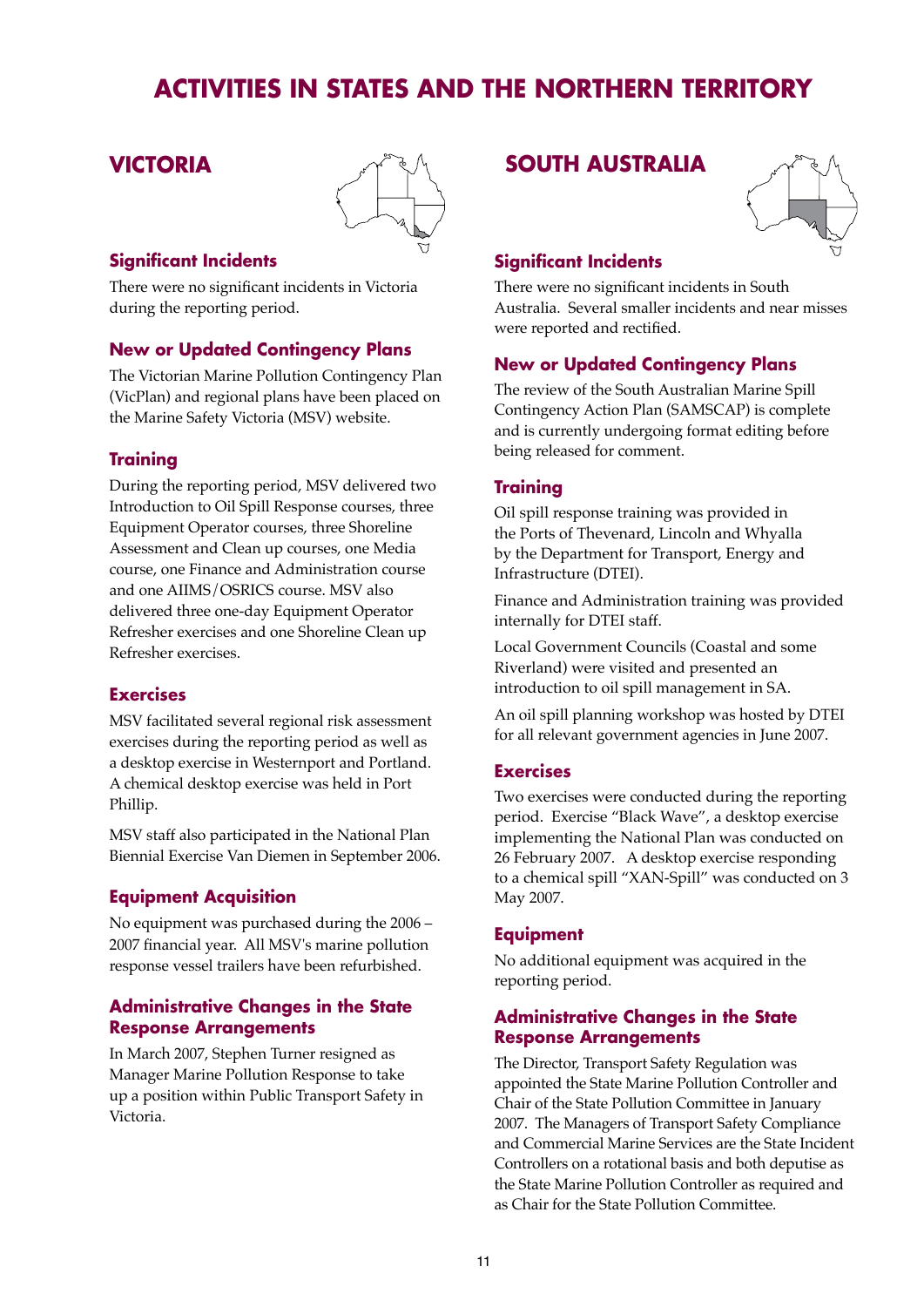### **VICTORIA**



#### **Significant Incidents**

There were no significant incidents in Victoria during the reporting period.

#### **New or Updated Contingency Plans**

The Victorian Marine Pollution Contingency Plan (VicPlan) and regional plans have been placed on the Marine Safety Victoria (MSV) website.

#### **Training**

During the reporting period, MSV delivered two Introduction to Oil Spill Response courses, three Equipment Operator courses, three Shoreline Assessment and Clean up courses, one Media course, one Finance and Administration course and one AIIMS/OSRICS course. MSV also delivered three one-day Equipment Operator Refresher exercises and one Shoreline Clean up Refresher exercises.

#### **Exercises**

MSV facilitated several regional risk assessment exercises during the reporting period as well as a desktop exercise in Westernport and Portland. A chemical desktop exercise was held in Port Phillip.

MSV staff also participated in the National Plan Biennial Exercise Van Diemen in September 2006.

#### **Equipment Acquisition**

No equipment was purchased during the 2006 – 2007 financial year. All MSV's marine pollution response vessel trailers have been refurbished.

#### **Administrative Changes in the State Response Arrangements**

In March 2007, Stephen Turner resigned as Manager Marine Pollution Response to take up a position within Public Transport Safety in Victoria.

#### **SOUTH AUSTRALIA**



#### **Significant Incidents**

There were no significant incidents in South Australia. Several smaller incidents and near misses were reported and rectified.

#### **New or Updated Contingency Plans**

The review of the South Australian Marine Spill Contingency Action Plan (SAMSCAP) is complete and is currently undergoing format editing before being released for comment.

#### **Training**

Oil spill response training was provided in the Ports of Thevenard, Lincoln and Whyalla by the Department for Transport, Energy and Infrastructure (DTEI).

Finance and Administration training was provided internally for DTEI staff.

Local Government Councils (Coastal and some Riverland) were visited and presented an introduction to oil spill management in SA.

An oil spill planning workshop was hosted by DTEI for all relevant government agencies in June 2007.

#### **Exercises**

Two exercises were conducted during the reporting period. Exercise "Black Wave", a desktop exercise implementing the National Plan was conducted on 26 February 2007. A desktop exercise responding to a chemical spill "XAN-Spill" was conducted on 3 May 2007.

#### **Equipment**

No additional equipment was acquired in the reporting period.

#### **Administrative Changes in the State Response Arrangements**

The Director, Transport Safety Regulation was appointed the State Marine Pollution Controller and Chair of the State Pollution Committee in January 2007. The Managers of Transport Safety Compliance and Commercial Marine Services are the State Incident Controllers on a rotational basis and both deputise as the State Marine Pollution Controller as required and as Chair for the State Pollution Committee.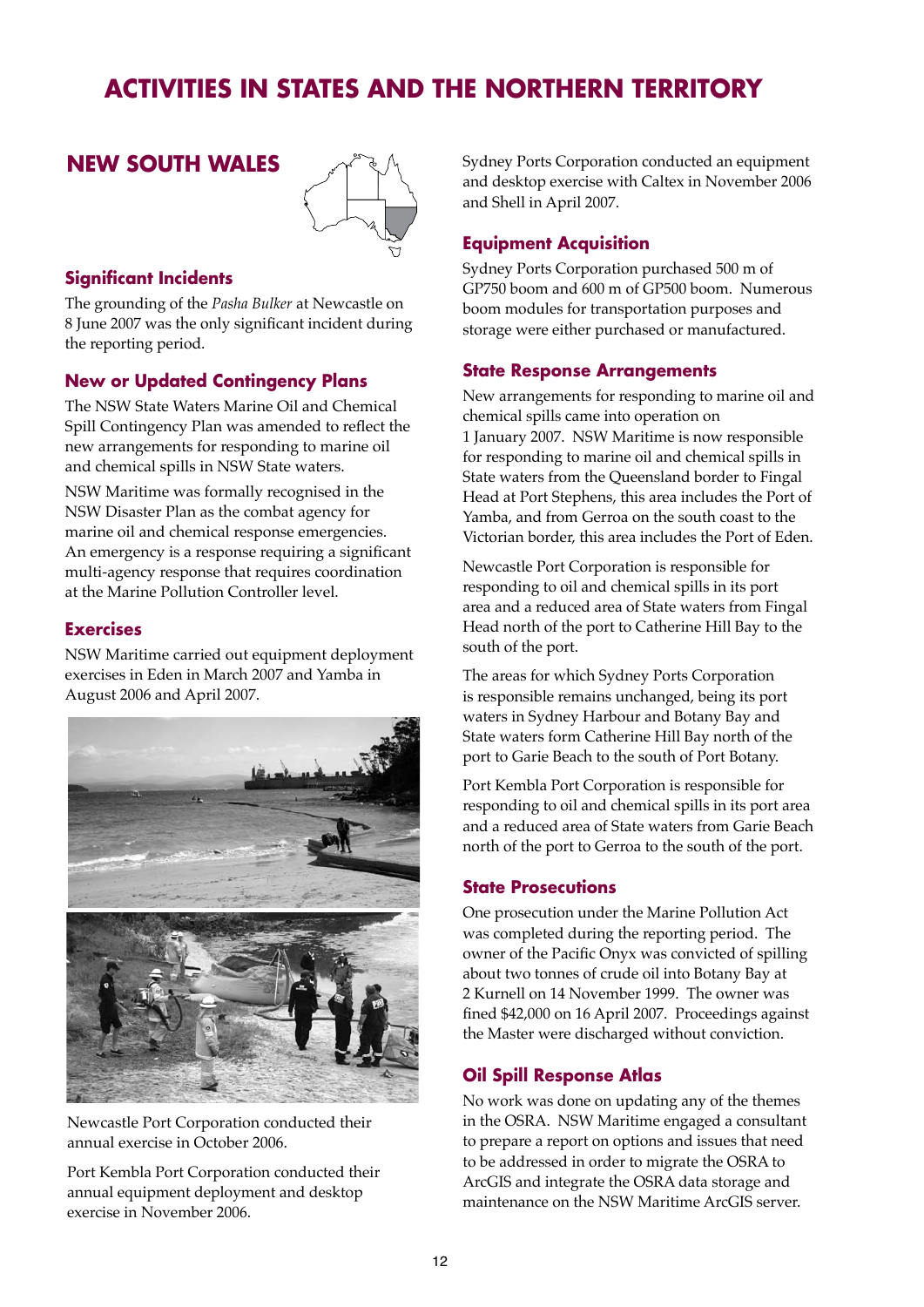#### **NEW SOUTH WALES**



#### **Significant Incidents**

The grounding of the *Pasha Bulker* at Newcastle on 8 June 2007 was the only significant incident during the reporting period.

#### **New or Updated Contingency Plans**

The NSW State Waters Marine Oil and Chemical Spill Contingency Plan was amended to reflect the new arrangements for responding to marine oil and chemical spills in NSW State waters.

NSW Maritime was formally recognised in the NSW Disaster Plan as the combat agency for marine oil and chemical response emergencies. An emergency is a response requiring a significant multi-agency response that requires coordination at the Marine Pollution Controller level.

#### **Exercises**

NSW Maritime carried out equipment deployment exercises in Eden in March 2007 and Yamba in August 2006 and April 2007.



Newcastle Port Corporation conducted their annual exercise in October 2006.

Port Kembla Port Corporation conducted their annual equipment deployment and desktop exercise in November 2006.

Sydney Ports Corporation conducted an equipment and desktop exercise with Caltex in November 2006 and Shell in April 2007.

#### **Equipment Acquisition**

Sydney Ports Corporation purchased 500 m of GP750 boom and 600 m of GP500 boom. Numerous boom modules for transportation purposes and storage were either purchased or manufactured.

#### **State Response Arrangements**

New arrangements for responding to marine oil and chemical spills came into operation on 1 January 2007. NSW Maritime is now responsible for responding to marine oil and chemical spills in State waters from the Queensland border to Fingal Head at Port Stephens, this area includes the Port of Yamba, and from Gerroa on the south coast to the Victorian border, this area includes the Port of Eden.

Newcastle Port Corporation is responsible for responding to oil and chemical spills in its port area and a reduced area of State waters from Fingal Head north of the port to Catherine Hill Bay to the south of the port.

The areas for which Sydney Ports Corporation is responsible remains unchanged, being its port waters in Sydney Harbour and Botany Bay and State waters form Catherine Hill Bay north of the port to Garie Beach to the south of Port Botany.

Port Kembla Port Corporation is responsible for responding to oil and chemical spills in its port area and a reduced area of State waters from Garie Beach north of the port to Gerroa to the south of the port.

#### **State Prosecutions**

One prosecution under the Marine Pollution Act was completed during the reporting period. The owner of the Pacific Onyx was convicted of spilling about two tonnes of crude oil into Botany Bay at 2 Kurnell on 14 November 1999. The owner was fined \$42,000 on 16 April 2007. Proceedings against the Master were discharged without conviction.

#### **Oil Spill Response Atlas**

No work was done on updating any of the themes in the OSRA. NSW Maritime engaged a consultant to prepare a report on options and issues that need to be addressed in order to migrate the OSRA to ArcGIS and integrate the OSRA data storage and maintenance on the NSW Maritime ArcGIS server.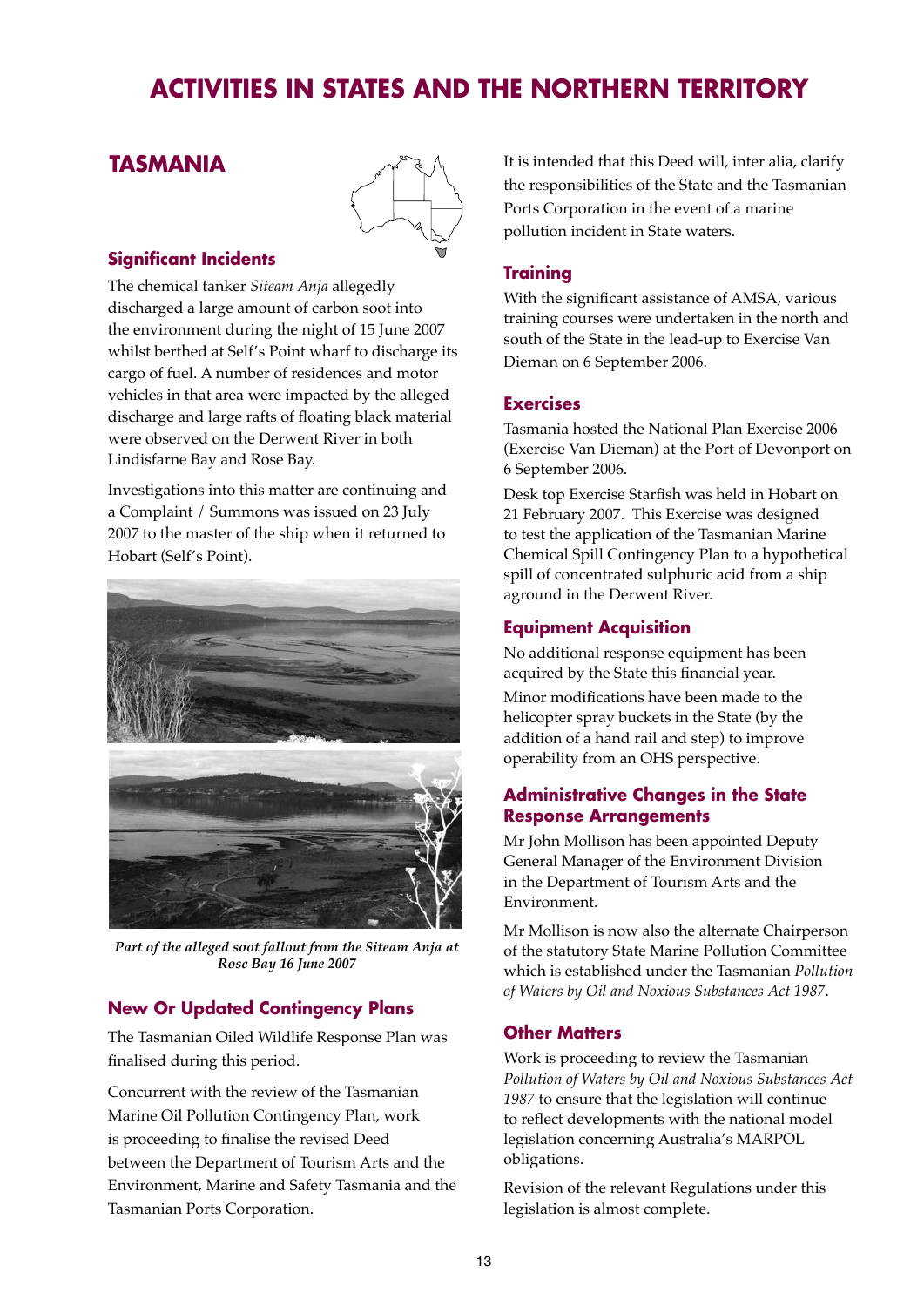### **TASMANIA**



#### **Significant Incidents**

The chemical tanker *Siteam Anja* allegedly discharged a large amount of carbon soot into the environment during the night of 15 June 2007 whilst berthed at Self's Point wharf to discharge its cargo of fuel. A number of residences and motor vehicles in that area were impacted by the alleged discharge and large rafts of floating black material were observed on the Derwent River in both Lindisfarne Bay and Rose Bay.

Investigations into this matter are continuing and a Complaint / Summons was issued on 23 July 2007 to the master of the ship when it returned to Hobart (Self's Point).



*Part of the alleged soot fallout from the Siteam Anja at Rose Bay 16 June 2007*

#### **New Or Updated Contingency Plans**

The Tasmanian Oiled Wildlife Response Plan was finalised during this period.

Concurrent with the review of the Tasmanian Marine Oil Pollution Contingency Plan, work is proceeding to finalise the revised Deed between the Department of Tourism Arts and the Environment, Marine and Safety Tasmania and the Tasmanian Ports Corporation.

It is intended that this Deed will, inter alia, clarify the responsibilities of the State and the Tasmanian Ports Corporation in the event of a marine pollution incident in State waters.

#### **Training**

With the significant assistance of AMSA, various training courses were undertaken in the north and south of the State in the lead-up to Exercise Van Dieman on 6 September 2006.

#### **Exercises**

Tasmania hosted the National Plan Exercise 2006 (Exercise Van Dieman) at the Port of Devonport on 6 September 2006.

Desk top Exercise Starfish was held in Hobart on 21 February 2007. This Exercise was designed to test the application of the Tasmanian Marine Chemical Spill Contingency Plan to a hypothetical spill of concentrated sulphuric acid from a ship aground in the Derwent River.

#### **Equipment Acquisition**

No additional response equipment has been acquired by the State this financial year.

Minor modifications have been made to the helicopter spray buckets in the State (by the addition of a hand rail and step) to improve operability from an OHS perspective.

#### **Administrative Changes in the State Response Arrangements**

Mr John Mollison has been appointed Deputy General Manager of the Environment Division in the Department of Tourism Arts and the Environment.

Mr Mollison is now also the alternate Chairperson of the statutory State Marine Pollution Committee which is established under the Tasmanian *Pollution of Waters by Oil and Noxious Substances Act 1987*.

#### **Other Matters**

Work is proceeding to review the Tasmanian *Pollution of Waters by Oil and Noxious Substances Act 1987* to ensure that the legislation will continue to reflect developments with the national model legislation concerning Australia's MARPOL obligations.

Revision of the relevant Regulations under this legislation is almost complete.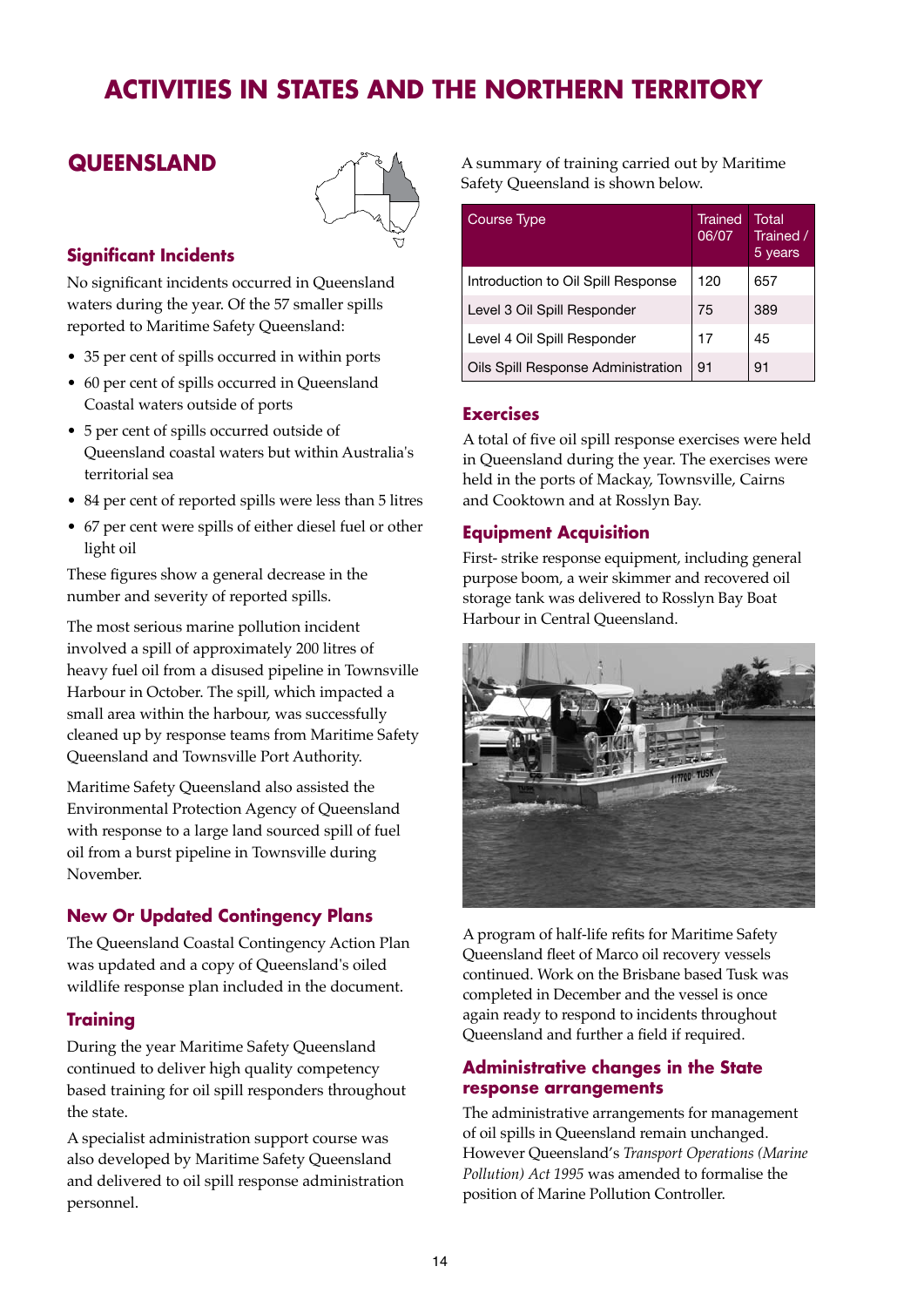

#### **Significant Incidents**

No significant incidents occurred in Queensland waters during the year. Of the 57 smaller spills reported to Maritime Safety Queensland:

- 35 per cent of spills occurred in within ports
- 60 per cent of spills occurred in Queensland Coastal waters outside of ports
- 5 per cent of spills occurred outside of Queensland coastal waters but within Australia's territorial sea
- 84 per cent of reported spills were less than 5 litres
- 67 per cent were spills of either diesel fuel or other light oil

These figures show a general decrease in the number and severity of reported spills.

The most serious marine pollution incident involved a spill of approximately 200 litres of heavy fuel oil from a disused pipeline in Townsville Harbour in October. The spill, which impacted a small area within the harbour, was successfully cleaned up by response teams from Maritime Safety Queensland and Townsville Port Authority.

Maritime Safety Queensland also assisted the Environmental Protection Agency of Queensland with response to a large land sourced spill of fuel oil from a burst pipeline in Townsville during November.

#### **New Or Updated Contingency Plans**

The Queensland Coastal Contingency Action Plan was updated and a copy of Queensland's oiled wildlife response plan included in the document.

#### **Training**

During the year Maritime Safety Queensland continued to deliver high quality competency based training for oil spill responders throughout the state.

A specialist administration support course was also developed by Maritime Safety Queensland and delivered to oil spill response administration personnel.

**QUEENSLAND**  $A^{\wedge\heartsuit}$  A summary of training carried out by Maritime Safety Queensland is shown below.

| Course Type                        | Trained<br>06/07 | Total<br>Trained /<br>5 years |
|------------------------------------|------------------|-------------------------------|
| Introduction to Oil Spill Response | 120              | 657                           |
| Level 3 Oil Spill Responder        | 75               | 389                           |
| Level 4 Oil Spill Responder        | 17               | 45                            |
| Oils Spill Response Administration | 91               | 91                            |

#### **Exercises**

A total of five oil spill response exercises were held in Queensland during the year. The exercises were held in the ports of Mackay, Townsville, Cairns and Cooktown and at Rosslyn Bay.

#### **Equipment Acquisition**

First- strike response equipment, including general purpose boom, a weir skimmer and recovered oil storage tank was delivered to Rosslyn Bay Boat Harbour in Central Queensland.



A program of half-life refits for Maritime Safety Queensland fleet of Marco oil recovery vessels continued. Work on the Brisbane based Tusk was completed in December and the vessel is once again ready to respond to incidents throughout Queensland and further a field if required.

#### **Administrative changes in the State response arrangements**

The administrative arrangements for management of oil spills in Queensland remain unchanged. However Queensland's *Transport Operations (Marine Pollution) Act 1995* was amended to formalise the position of Marine Pollution Controller.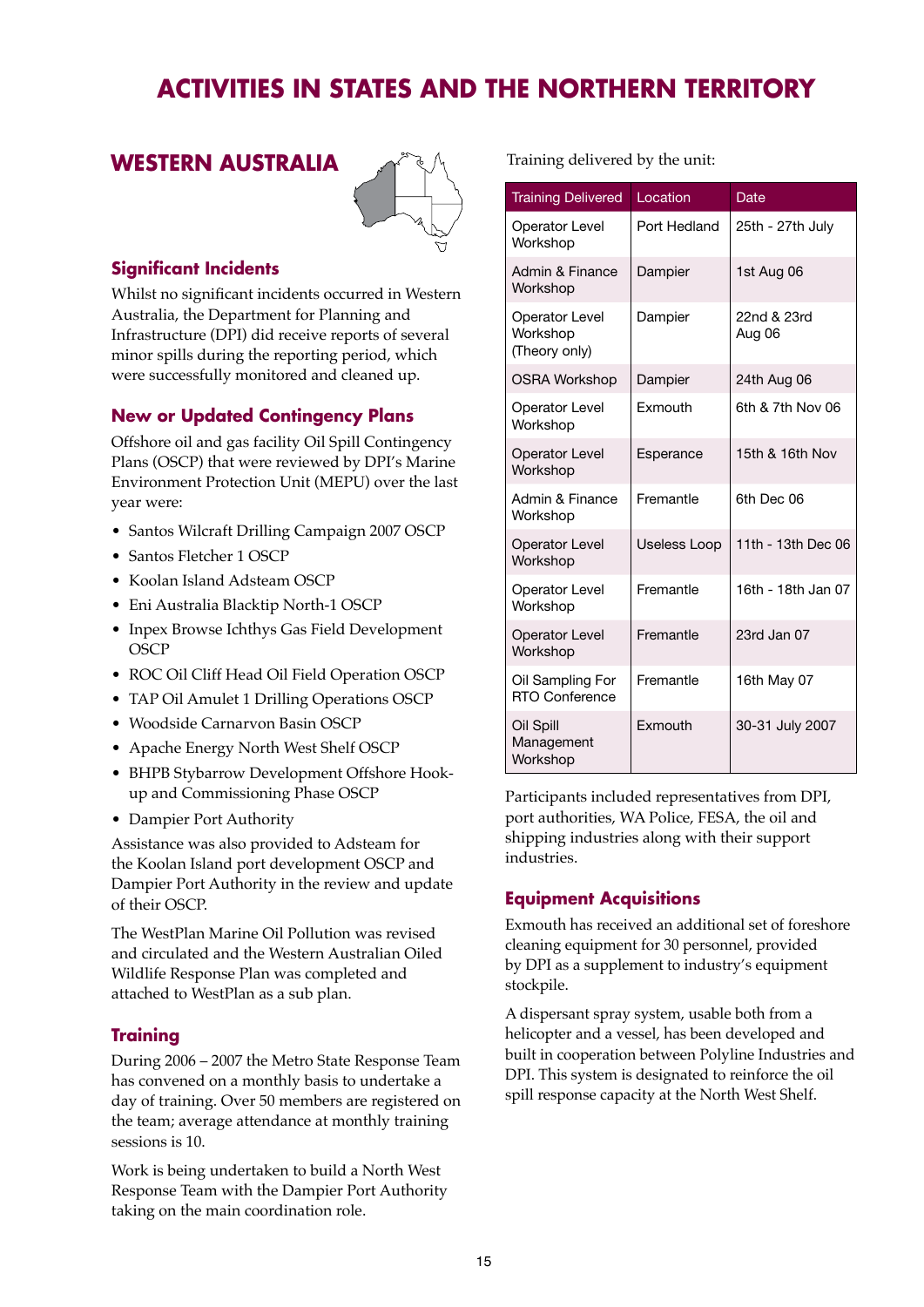#### **WESTERN AUSTRALIA**



#### **Significant Incidents**

Whilst no significant incidents occurred in Western Australia, the Department for Planning and Infrastructure (DPI) did receive reports of several minor spills during the reporting period, which were successfully monitored and cleaned up.

#### **New or Updated Contingency Plans**

Offshore oil and gas facility Oil Spill Contingency Plans (OSCP) that were reviewed by DPI's Marine Environment Protection Unit (MEPU) over the last year were:

- Santos Wilcraft Drilling Campaign 2007 OSCP
- Santos Fletcher 1 OSCP
- Koolan Island Adsteam OSCP
- Eni Australia Blacktip North-1 OSCP
- Inpex Browse Ichthys Gas Field Development **OSCP**
- ROC Oil Cliff Head Oil Field Operation OSCP
- TAP Oil Amulet 1 Drilling Operations OSCP
- Woodside Carnarvon Basin OSCP
- Apache Energy North West Shelf OSCP
- BHPB Stybarrow Development Offshore Hookup and Commissioning Phase OSCP
- Dampier Port Authority

Assistance was also provided to Adsteam for the Koolan Island port development OSCP and Dampier Port Authority in the review and update of their OSCP.

The WestPlan Marine Oil Pollution was revised and circulated and the Western Australian Oiled Wildlife Response Plan was completed and attached to WestPlan as a sub plan.

#### **Training**

During 2006 – 2007 the Metro State Response Team has convened on a monthly basis to undertake a day of training. Over 50 members are registered on the team; average attendance at monthly training sessions is 10.

Work is being undertaken to build a North West Response Team with the Dampier Port Authority taking on the main coordination role.

Training delivered by the unit:

| <b>Training Delivered</b>                          | Location            | Date                  |
|----------------------------------------------------|---------------------|-----------------------|
| <b>Operator Level</b><br>Workshop                  | Port Hedland        | 25th - 27th July      |
| <b>Admin &amp; Finance</b><br>Workshop             | Dampier             | 1st Aug 06            |
| <b>Operator Level</b><br>Workshop<br>(Theory only) | Dampier             | 22nd & 23rd<br>Aug 06 |
| <b>OSRA Workshop</b>                               | Dampier             | 24th Aug 06           |
| <b>Operator Level</b><br>Workshop                  | Exmouth             | 6th & 7th Nov 06      |
| <b>Operator Level</b><br>Workshop                  | Esperance           | 15th & 16th Nov       |
| Admin & Finance<br>Workshop                        | Fremantle           | 6th Dec 06            |
| <b>Operator Level</b><br>Workshop                  | <b>Useless Loop</b> | 11th - 13th Dec 06    |
| <b>Operator Level</b><br>Workshop                  | Fremantle           | 16th - 18th Jan 07    |
| <b>Operator Level</b><br>Workshop                  | Fremantle           | 23rd Jan 07           |
| Oil Sampling For<br><b>RTO Conference</b>          | Fremantle           | 16th May 07           |
| Oil Spill<br>Management<br>Workshop                | Exmouth             | 30-31 July 2007       |

Participants included representatives from DPI, port authorities, WA Police, FESA, the oil and shipping industries along with their support industries.

#### **Equipment Acquisitions**

Exmouth has received an additional set of foreshore cleaning equipment for 30 personnel, provided by DPI as a supplement to industry's equipment stockpile.

A dispersant spray system, usable both from a helicopter and a vessel, has been developed and built in cooperation between Polyline Industries and DPI. This system is designated to reinforce the oil spill response capacity at the North West Shelf.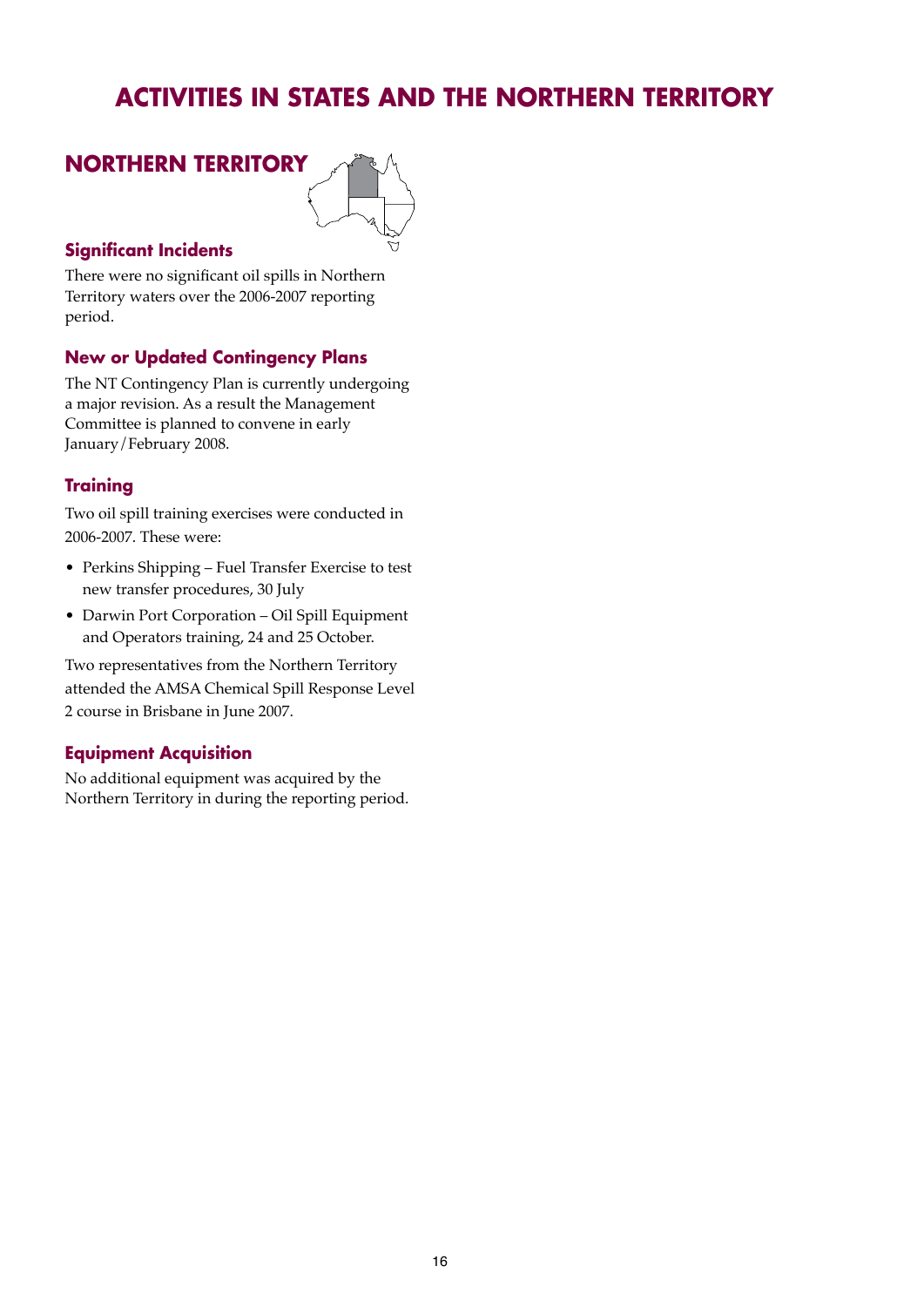

#### **Significant Incidents**

There were no significant oil spills in Northern Territory waters over the 2006-2007 reporting period.

#### **New or Updated Contingency Plans**

The NT Contingency Plan is currently undergoing a major revision. As a result the Management Committee is planned to convene in early January/February 2008.

#### **Training**

Two oil spill training exercises were conducted in 2006-2007. These were:

- Perkins Shipping Fuel Transfer Exercise to test new transfer procedures, 30 July
- Darwin Port Corporation Oil Spill Equipment and Operators training, 24 and 25 October.

Two representatives from the Northern Territory attended the AMSA Chemical Spill Response Level 2 course in Brisbane in June 2007.

#### **Equipment Acquisition**

No additional equipment was acquired by the Northern Territory in during the reporting period.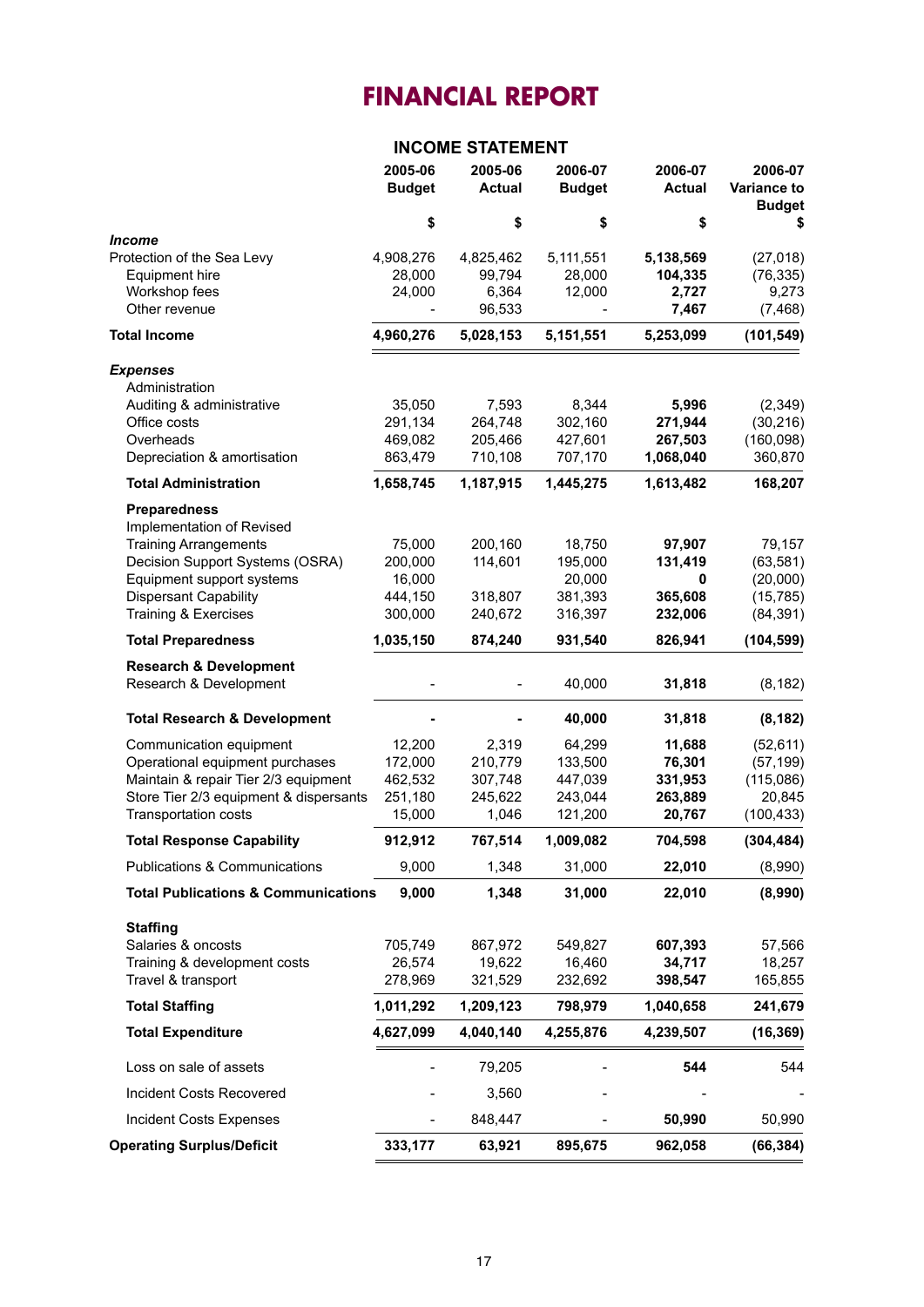#### **INCOME STATEMENT**

|                                                                                                                                                                                                          | 2005-06<br><b>Budget</b>                          | 2005-06<br><b>Actual</b>                        | 2006-07<br><b>Budget</b>                           | 2006-07<br><b>Actual</b>                         | 2006-07<br><b>Variance to</b><br><b>Budget</b>              |
|----------------------------------------------------------------------------------------------------------------------------------------------------------------------------------------------------------|---------------------------------------------------|-------------------------------------------------|----------------------------------------------------|--------------------------------------------------|-------------------------------------------------------------|
|                                                                                                                                                                                                          | \$                                                | \$                                              | \$                                                 | \$                                               | \$                                                          |
| <i><b>Income</b></i><br>Protection of the Sea Levy<br>Equipment hire<br>Workshop fees<br>Other revenue                                                                                                   | 4,908,276<br>28,000<br>24,000                     | 4,825,462<br>99,794<br>6,364<br>96,533          | 5,111,551<br>28,000<br>12,000                      | 5,138,569<br>104,335<br>2,727<br>7,467           | (27, 018)<br>(76, 335)<br>9,273<br>(7, 468)                 |
| <b>Total Income</b>                                                                                                                                                                                      | 4,960,276                                         | 5,028,153                                       | 5,151,551                                          | 5,253,099                                        | (101, 549)                                                  |
| <b>Expenses</b><br>Administration<br>Auditing & administrative<br>Office costs<br>Overheads                                                                                                              | 35,050<br>291,134<br>469,082                      | 7,593<br>264,748<br>205,466                     | 8,344<br>302,160<br>427,601                        | 5,996<br>271,944<br>267,503                      | (2,349)<br>(30, 216)<br>(160,098)                           |
| Depreciation & amortisation                                                                                                                                                                              | 863,479                                           | 710,108                                         | 707,170                                            | 1,068,040                                        | 360,870                                                     |
| <b>Total Administration</b>                                                                                                                                                                              | 1,658,745                                         | 1,187,915                                       | 1,445,275                                          | 1,613,482                                        | 168,207                                                     |
| <b>Preparedness</b><br>Implementation of Revised<br><b>Training Arrangements</b><br>Decision Support Systems (OSRA)<br>Equipment support systems<br><b>Dispersant Capability</b><br>Training & Exercises | 75,000<br>200,000<br>16,000<br>444,150<br>300,000 | 200,160<br>114,601<br>318,807<br>240,672        | 18,750<br>195,000<br>20,000<br>381,393<br>316,397  | 97,907<br>131,419<br>0<br>365,608<br>232,006     | 79,157<br>(63, 581)<br>(20,000)<br>(15, 785)<br>(84, 391)   |
| <b>Total Preparedness</b>                                                                                                                                                                                | 1,035,150                                         | 874,240                                         | 931,540                                            | 826,941                                          | (104, 599)                                                  |
| <b>Research &amp; Development</b><br>Research & Development                                                                                                                                              |                                                   |                                                 | 40,000                                             | 31,818                                           | (8, 182)                                                    |
| <b>Total Research &amp; Development</b>                                                                                                                                                                  |                                                   |                                                 | 40,000                                             | 31,818                                           | (8, 182)                                                    |
| Communication equipment<br>Operational equipment purchases<br>Maintain & repair Tier 2/3 equipment<br>Store Tier 2/3 equipment & dispersants<br>Transportation costs                                     | 12,200<br>172,000<br>462,532<br>251,180<br>15,000 | 2,319<br>210,779<br>307,748<br>245,622<br>1,046 | 64,299<br>133,500<br>447,039<br>243,044<br>121,200 | 11,688<br>76,301<br>331,953<br>263,889<br>20,767 | (52, 611)<br>(57, 199)<br>(115,086)<br>20,845<br>(100, 433) |
| <b>Total Response Capability</b>                                                                                                                                                                         | 912,912                                           | 767,514                                         | 1,009,082                                          | 704,598                                          | (304, 484)                                                  |
| <b>Publications &amp; Communications</b>                                                                                                                                                                 | 9,000                                             | 1,348                                           | 31,000                                             | 22,010                                           | (8,990)                                                     |
| <b>Total Publications &amp; Communications</b>                                                                                                                                                           | 9,000                                             | 1,348                                           | 31,000                                             | 22,010                                           | (8,990)                                                     |
| <b>Staffing</b><br>Salaries & oncosts<br>Training & development costs<br>Travel & transport                                                                                                              | 705,749<br>26,574<br>278,969                      | 867,972<br>19,622<br>321,529                    | 549,827<br>16,460<br>232,692                       | 607,393<br>34,717<br>398,547                     | 57,566<br>18,257<br>165,855                                 |
| <b>Total Staffing</b>                                                                                                                                                                                    | 1,011,292                                         | 1,209,123                                       | 798,979                                            | 1,040,658                                        | 241,679                                                     |
| <b>Total Expenditure</b>                                                                                                                                                                                 | 4,627,099                                         | 4,040,140                                       | 4,255,876                                          | 4,239,507                                        | (16, 369)                                                   |
| Loss on sale of assets                                                                                                                                                                                   |                                                   | 79,205                                          |                                                    | 544                                              | 544                                                         |
| Incident Costs Recovered                                                                                                                                                                                 |                                                   | 3,560                                           |                                                    |                                                  |                                                             |
| <b>Incident Costs Expenses</b>                                                                                                                                                                           |                                                   | 848,447                                         |                                                    | 50,990                                           | 50,990                                                      |
| <b>Operating Surplus/Deficit</b>                                                                                                                                                                         | 333,177                                           | 63,921                                          | 895,675                                            | 962,058                                          | (66, 384)                                                   |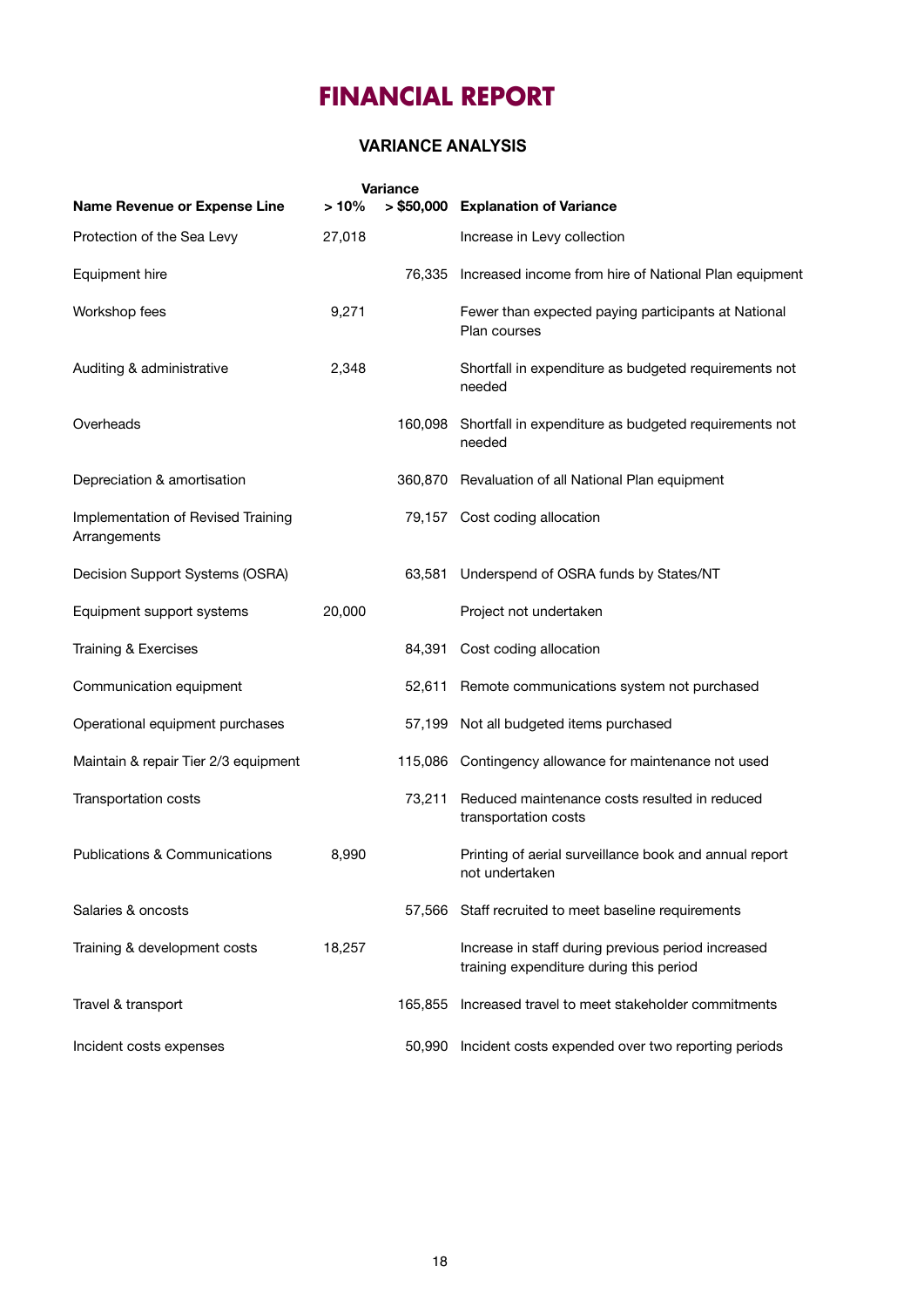#### **VARIANCE ANALYSIS**

|                                                    |         | <b>Variance</b> |                                                                                               |
|----------------------------------------------------|---------|-----------------|-----------------------------------------------------------------------------------------------|
| Name Revenue or Expense Line                       | $>10\%$ |                 | > \$50,000 Explanation of Variance                                                            |
| Protection of the Sea Levy                         | 27,018  |                 | Increase in Levy collection                                                                   |
| Equipment hire                                     |         | 76,335          | Increased income from hire of National Plan equipment                                         |
| Workshop fees                                      | 9,271   |                 | Fewer than expected paying participants at National<br>Plan courses                           |
| Auditing & administrative                          | 2,348   |                 | Shortfall in expenditure as budgeted requirements not<br>needed                               |
| Overheads                                          |         | 160,098         | Shortfall in expenditure as budgeted requirements not<br>needed                               |
| Depreciation & amortisation                        |         |                 | 360,870 Revaluation of all National Plan equipment                                            |
| Implementation of Revised Training<br>Arrangements |         |                 | 79,157 Cost coding allocation                                                                 |
| Decision Support Systems (OSRA)                    |         | 63,581          | Underspend of OSRA funds by States/NT                                                         |
| Equipment support systems                          | 20,000  |                 | Project not undertaken                                                                        |
| Training & Exercises                               |         | 84,391          | Cost coding allocation                                                                        |
| Communication equipment                            |         | 52,611          | Remote communications system not purchased                                                    |
| Operational equipment purchases                    |         | 57,199          | Not all budgeted items purchased                                                              |
| Maintain & repair Tier 2/3 equipment               |         |                 | 115,086 Contingency allowance for maintenance not used                                        |
| Transportation costs                               |         | 73,211          | Reduced maintenance costs resulted in reduced<br>transportation costs                         |
| <b>Publications &amp; Communications</b>           | 8,990   |                 | Printing of aerial surveillance book and annual report<br>not undertaken                      |
| Salaries & oncosts                                 |         |                 | 57,566 Staff recruited to meet baseline requirements                                          |
| Training & development costs                       | 18,257  |                 | Increase in staff during previous period increased<br>training expenditure during this period |
| Travel & transport                                 |         | 165.855         | Increased travel to meet stakeholder commitments                                              |
| Incident costs expenses                            |         | 50.990          | Incident costs expended over two reporting periods                                            |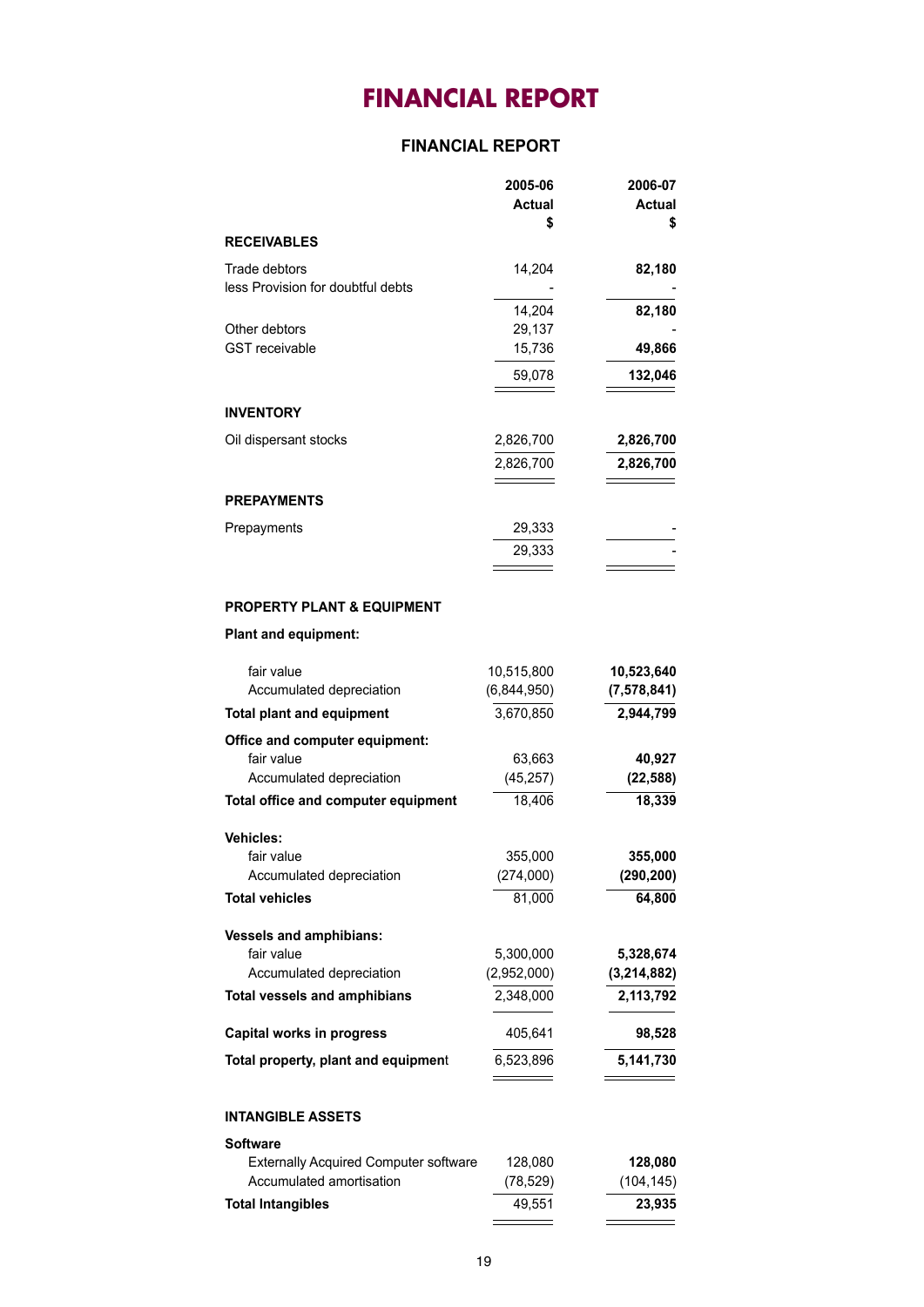#### **FINANCIAL REPORT**

|                                                    | 2005-06<br><b>Actual</b><br>S | 2006-07<br><b>Actual</b><br>S |
|----------------------------------------------------|-------------------------------|-------------------------------|
| <b>RECEIVABLES</b>                                 |                               |                               |
| Trade debtors<br>less Provision for doubtful debts | 14,204                        | 82,180                        |
|                                                    | 14,204                        | 82,180                        |
| Other debtors                                      | 29,137                        |                               |
| <b>GST</b> receivable                              | 15,736                        | 49,866                        |
|                                                    | 59,078                        | 132,046                       |
| <b>INVENTORY</b>                                   |                               |                               |
| Oil dispersant stocks                              | 2,826,700                     | 2,826,700                     |
|                                                    | 2,826,700                     | 2,826,700                     |
| <b>PREPAYMENTS</b>                                 |                               |                               |
| Prepayments                                        | 29,333                        |                               |
|                                                    | 29,333                        |                               |
|                                                    |                               |                               |

#### **PROPERTY PLANT & EQUIPMENT**

#### **Plant and equipment:**

| (7,578,841)<br>2,944,799<br>40,927<br>(22, 588)<br>18,339 |
|-----------------------------------------------------------|
|                                                           |
|                                                           |
|                                                           |
|                                                           |
|                                                           |
|                                                           |
|                                                           |
| 355,000                                                   |
| (290, 200)                                                |
| 64,800                                                    |
|                                                           |
| 5,328,674                                                 |
| (3, 214, 882)                                             |
| 2,113,792                                                 |
| 98,528                                                    |
| 5,141,730                                                 |
|                                                           |

#### **INTANGIBLE ASSETS**

| <b>Software</b>                              |           |            |
|----------------------------------------------|-----------|------------|
| <b>Externally Acquired Computer software</b> | 128.080   | 128,080    |
| Accumulated amortisation                     | (78, 529) | (104, 145) |
| <b>Total Intangibles</b>                     | 49.551    | 23.935     |
|                                              |           |            |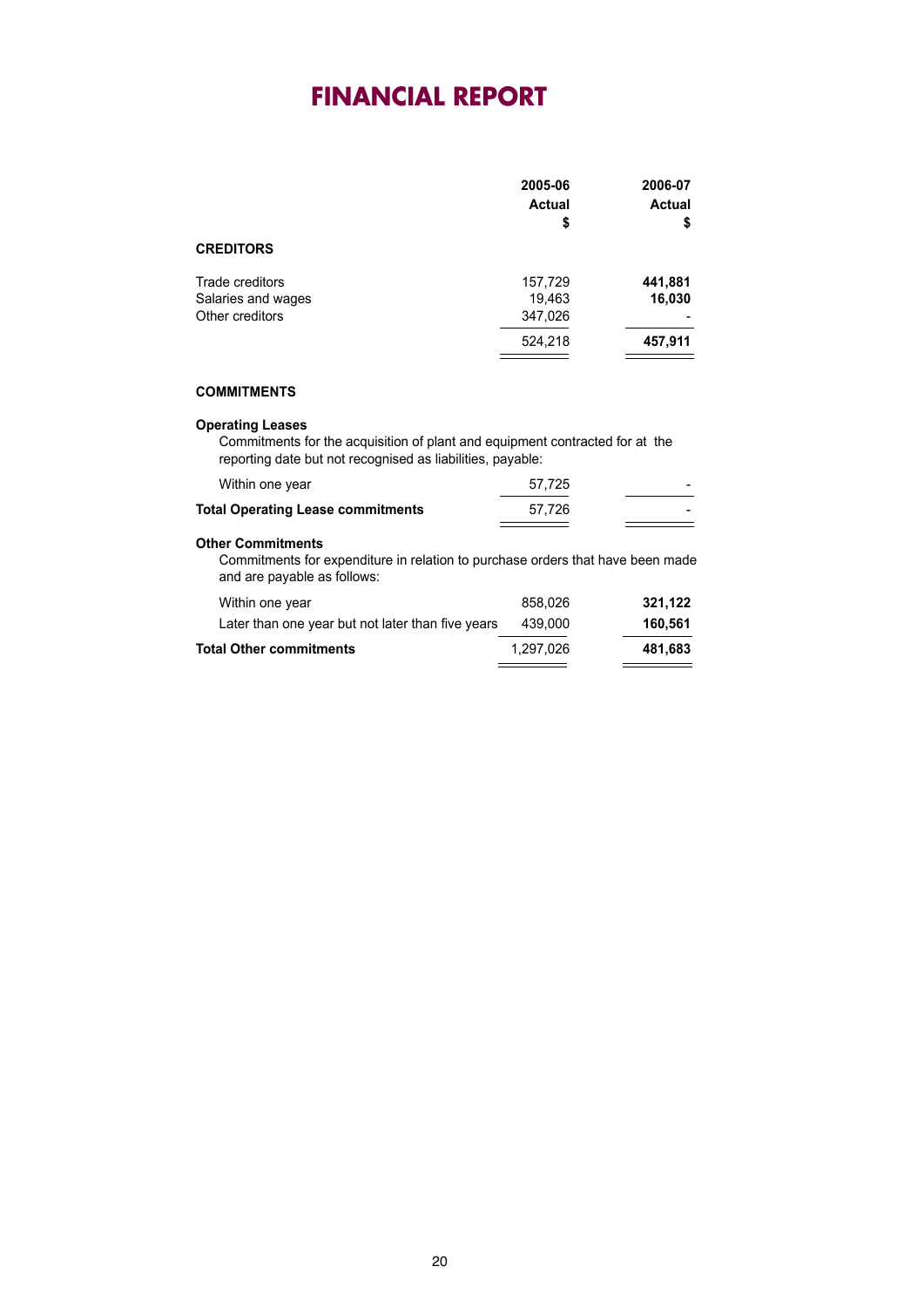|                                                          | 2005-06<br><b>Actual</b><br>\$ | 2006-07<br><b>Actual</b><br>\$ |
|----------------------------------------------------------|--------------------------------|--------------------------------|
| <b>CREDITORS</b>                                         |                                |                                |
| Trade creditors<br>Salaries and wages<br>Other creditors | 157,729<br>19,463<br>347,026   | 441,881<br>16,030              |
|                                                          | 524,218                        | 457,911                        |

#### **COMMITMENTS**

#### **Operating Leases**

Commitments for the acquisition of plant and equipment contracted for at the reporting date but not recognised as liabilities, payable:

| Within one year                          | 57.725 |  |
|------------------------------------------|--------|--|
| <b>Total Operating Lease commitments</b> | 57.726 |  |
|                                          |        |  |

#### **Other Commitments**

Commitments for expenditure in relation to purchase orders that have been made and are payable as follows:

| <b>Total Other commitments</b>                    | 1.297.026 | 481.683 |
|---------------------------------------------------|-----------|---------|
|                                                   |           |         |
| Later than one year but not later than five years | 439.000   | 160.561 |
| Within one year                                   | 858.026   | 321.122 |